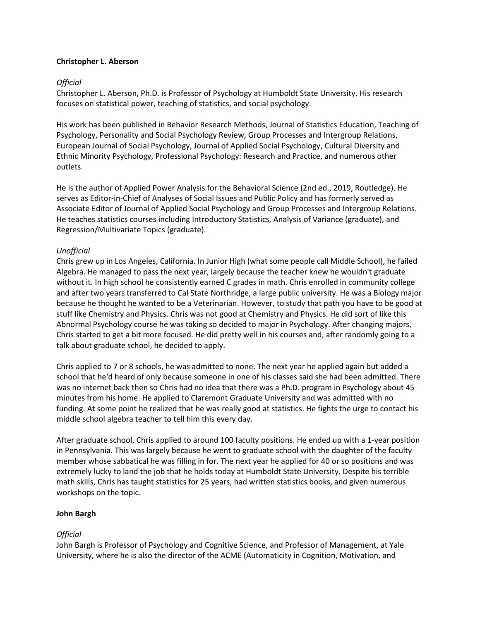### **Christopher L. Aberson**

### *Official*

Christopher L. Aberson, Ph.D. is Professor of Psychology at Humboldt State University. His research focuses on statistical power, teaching of statistics, and social psychology.

His work has been published in Behavior Research Methods, Journal of Statistics Education, Teaching of Psychology, Personality and Social Psychology Review, Group Processes and Intergroup Relations, European Journal of Social Psychology, Journal of Applied Social Psychology, Cultural Diversity and Ethnic Minority Psychology, Professional Psychology: Research and Practice, and numerous other outlets.

He is the author of Applied Power Analysis for the Behavioral Science (2nd ed., 2019, Routledge). He serves as Editor-in-Chief of Analyses of Social Issues and Public Policy and has formerly served as Associate Editor of Journal of Applied Social Psychology and Group Processes and Intergroup Relations. He teaches statistics courses including Introductory Statistics, Analysis of Variance (graduate), and Regression/Multivariate Topics (graduate).

### *Unofficial*

Chris grew up in Los Angeles, California. In Junior High (what some people call Middle School), he failed Algebra. He managed to pass the next year, largely because the teacher knew he wouldn't graduate without it. In high school he consistently earned C grades in math. Chris enrolled in community college and after two years transferred to Cal State Northridge, a large public university. He was a Biology major because he thought he wanted to be a Veterinarian. However, to study that path you have to be good at stuff like Chemistry and Physics. Chris was not good at Chemistry and Physics. He did sort of like this Abnormal Psychology course he was taking so decided to major in Psychology. After changing majors, Chris started to get a bit more focused. He did pretty well in his courses and, after randomly going to a talk about graduate school, he decided to apply.

Chris applied to 7 or 8 schools, he was admitted to none. The next year he applied again but added a school that he'd heard of only because someone in one of his classes said she had been admitted. There was no internet back then so Chris had no idea that there was a Ph.D. program in Psychology about 45 minutes from his home. He applied to Claremont Graduate University and was admitted with no funding. At some point he realized that he was really good at statistics. He fights the urge to contact his middle school algebra teacher to tell him this every day.

After graduate school, Chris applied to around 100 faculty positions. He ended up with a 1-year position in Pennsylvania. This was largely because he went to graduate school with the daughter of the faculty member whose sabbatical he was filling in for. The next year he applied for 40 or so positions and was extremely lucky to land the job that he holds today at Humboldt State University. Despite his terrible math skills, Chris has taught statistics for 25 years, had written statistics books, and given numerous workshops on the topic.

#### **John Bargh**

### *Official*

John Bargh is Professor of Psychology and Cognitive Science, and Professor of Management, at Yale University, where he is also the director of the ACME (Automaticity in Cognition, Motivation, and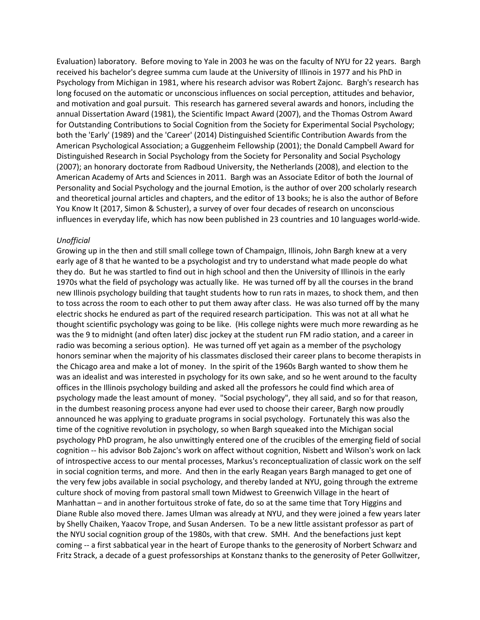Evaluation) laboratory. Before moving to Yale in 2003 he was on the faculty of NYU for 22 years. Bargh received his bachelor's degree summa cum laude at the University of Illinois in 1977 and his PhD in Psychology from Michigan in 1981, where his research advisor was Robert Zajonc. Bargh's research has long focused on the automatic or unconscious influences on social perception, attitudes and behavior, and motivation and goal pursuit. This research has garnered several awards and honors, including the annual Dissertation Award (1981), the Scientific Impact Award (2007), and the Thomas Ostrom Award for Outstanding Contributions to Social Cognition from the Society for Experimental Social Psychology; both the 'Early' (1989) and the 'Career' (2014) Distinguished Scientific Contribution Awards from the American Psychological Association; a Guggenheim Fellowship (2001); the Donald Campbell Award for Distinguished Research in Social Psychology from the Society for Personality and Social Psychology (2007); an honorary doctorate from Radboud University, the Netherlands (2008), and election to the American Academy of Arts and Sciences in 2011. Bargh was an Associate Editor of both the Journal of Personality and Social Psychology and the journal Emotion, is the author of over 200 scholarly research and theoretical journal articles and chapters, and the editor of 13 books; he is also the author of Before You Know It (2017, Simon & Schuster), a survey of over four decades of research on unconscious influences in everyday life, which has now been published in 23 countries and 10 languages world-wide.

#### *Unofficial*

Growing up in the then and still small college town of Champaign, Illinois, John Bargh knew at a very early age of 8 that he wanted to be a psychologist and try to understand what made people do what they do. But he was startled to find out in high school and then the University of Illinois in the early 1970s what the field of psychology was actually like. He was turned off by all the courses in the brand new Illinois psychology building that taught students how to run rats in mazes, to shock them, and then to toss across the room to each other to put them away after class. He was also turned off by the many electric shocks he endured as part of the required research participation. This was not at all what he thought scientific psychology was going to be like. (His college nights were much more rewarding as he was the 9 to midnight (and often later) disc jockey at the student run FM radio station, and a career in radio was becoming a serious option). He was turned off yet again as a member of the psychology honors seminar when the majority of his classmates disclosed their career plans to become therapists in the Chicago area and make a lot of money. In the spirit of the 1960s Bargh wanted to show them he was an idealist and was interested in psychology for its own sake, and so he went around to the faculty offices in the Illinois psychology building and asked all the professors he could find which area of psychology made the least amount of money. "Social psychology", they all said, and so for that reason, in the dumbest reasoning process anyone had ever used to choose their career, Bargh now proudly announced he was applying to graduate programs in social psychology. Fortunately this was also the time of the cognitive revolution in psychology, so when Bargh squeaked into the Michigan social psychology PhD program, he also unwittingly entered one of the crucibles of the emerging field of social cognition -- his advisor Bob Zajonc's work on affect without cognition, Nisbett and Wilson's work on lack of introspective access to our mental processes, Markus's reconceptualization of classic work on the self in social cognition terms, and more. And then in the early Reagan years Bargh managed to get one of the very few jobs available in social psychology, and thereby landed at NYU, going through the extreme culture shock of moving from pastoral small town Midwest to Greenwich Village in the heart of Manhattan – and in another fortuitous stroke of fate, do so at the same time that Tory Higgins and Diane Ruble also moved there. James Ulman was already at NYU, and they were joined a few years later by Shelly Chaiken, Yaacov Trope, and Susan Andersen. To be a new little assistant professor as part of the NYU social cognition group of the 1980s, with that crew. SMH. And the benefactions just kept coming -- a first sabbatical year in the heart of Europe thanks to the generosity of Norbert Schwarz and Fritz Strack, a decade of a guest professorships at Konstanz thanks to the generosity of Peter Gollwitzer,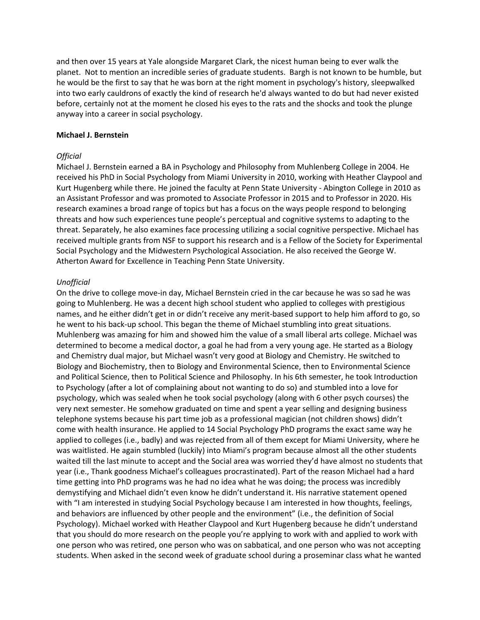and then over 15 years at Yale alongside Margaret Clark, the nicest human being to ever walk the planet. Not to mention an incredible series of graduate students. Bargh is not known to be humble, but he would be the first to say that he was born at the right moment in psychology's history, sleepwalked into two early cauldrons of exactly the kind of research he'd always wanted to do but had never existed before, certainly not at the moment he closed his eyes to the rats and the shocks and took the plunge anyway into a career in social psychology.

#### **Michael J. Bernstein**

#### *Official*

Michael J. Bernstein earned a BA in Psychology and Philosophy from Muhlenberg College in 2004. He received his PhD in Social Psychology from Miami University in 2010, working with Heather Claypool and Kurt Hugenberg while there. He joined the faculty at Penn State University - Abington College in 2010 as an Assistant Professor and was promoted to Associate Professor in 2015 and to Professor in 2020. His research examines a broad range of topics but has a focus on the ways people respond to belonging threats and how such experiences tune people's perceptual and cognitive systems to adapting to the threat. Separately, he also examines face processing utilizing a social cognitive perspective. Michael has received multiple grants from NSF to support his research and is a Fellow of the Society for Experimental Social Psychology and the Midwestern Psychological Association. He also received the George W. Atherton Award for Excellence in Teaching Penn State University.

#### *Unofficial*

On the drive to college move-in day, Michael Bernstein cried in the car because he was so sad he was going to Muhlenberg. He was a decent high school student who applied to colleges with prestigious names, and he either didn't get in or didn't receive any merit-based support to help him afford to go, so he went to his back-up school. This began the theme of Michael stumbling into great situations. Muhlenberg was amazing for him and showed him the value of a small liberal arts college. Michael was determined to become a medical doctor, a goal he had from a very young age. He started as a Biology and Chemistry dual major, but Michael wasn't very good at Biology and Chemistry. He switched to Biology and Biochemistry, then to Biology and Environmental Science, then to Environmental Science and Political Science, then to Political Science and Philosophy. In his 6th semester, he took Introduction to Psychology (after a lot of complaining about not wanting to do so) and stumbled into a love for psychology, which was sealed when he took social psychology (along with 6 other psych courses) the very next semester. He somehow graduated on time and spent a year selling and designing business telephone systems because his part time job as a professional magician (not children shows) didn't come with health insurance. He applied to 14 Social Psychology PhD programs the exact same way he applied to colleges (i.e., badly) and was rejected from all of them except for Miami University, where he was waitlisted. He again stumbled (luckily) into Miami's program because almost all the other students waited till the last minute to accept and the Social area was worried they'd have almost no students that year (i.e., Thank goodness Michael's colleagues procrastinated). Part of the reason Michael had a hard time getting into PhD programs was he had no idea what he was doing; the process was incredibly demystifying and Michael didn't even know he didn't understand it. His narrative statement opened with "I am interested in studying Social Psychology because I am interested in how thoughts, feelings, and behaviors are influenced by other people and the environment" (i.e., the definition of Social Psychology). Michael worked with Heather Claypool and Kurt Hugenberg because he didn't understand that you should do more research on the people you're applying to work with and applied to work with one person who was retired, one person who was on sabbatical, and one person who was not accepting students. When asked in the second week of graduate school during a proseminar class what he wanted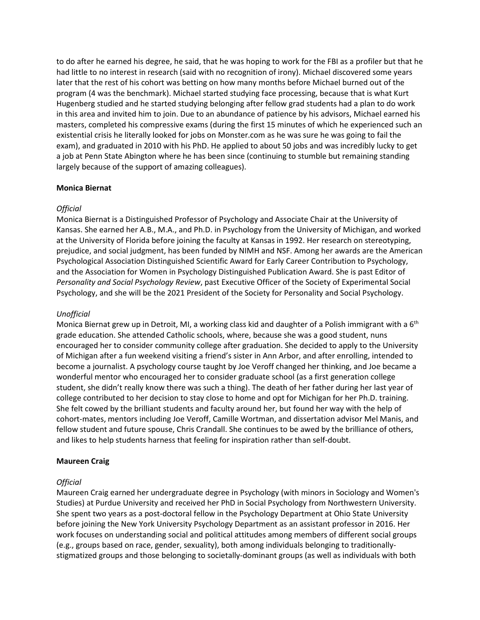to do after he earned his degree, he said, that he was hoping to work for the FBI as a profiler but that he had little to no interest in research (said with no recognition of irony). Michael discovered some years later that the rest of his cohort was betting on how many months before Michael burned out of the program (4 was the benchmark). Michael started studying face processing, because that is what Kurt Hugenberg studied and he started studying belonging after fellow grad students had a plan to do work in this area and invited him to join. Due to an abundance of patience by his advisors, Michael earned his masters, completed his compressive exams (during the first 15 minutes of which he experienced such an existential crisis he literally looked for jobs on Monster.com as he was sure he was going to fail the exam), and graduated in 2010 with his PhD. He applied to about 50 jobs and was incredibly lucky to get a job at Penn State Abington where he has been since (continuing to stumble but remaining standing largely because of the support of amazing colleagues).

### **Monica Biernat**

### *Official*

Monica Biernat is a Distinguished Professor of Psychology and Associate Chair at the University of Kansas. She earned her A.B., M.A., and Ph.D. in Psychology from the University of Michigan, and worked at the University of Florida before joining the faculty at Kansas in 1992. Her research on stereotyping, prejudice, and social judgment, has been funded by NIMH and NSF. Among her awards are the American Psychological Association Distinguished Scientific Award for Early Career Contribution to Psychology, and the Association for Women in Psychology Distinguished Publication Award. She is past Editor of *Personality and Social Psychology Review*, past Executive Officer of the Society of Experimental Social Psychology, and she will be the 2021 President of the Society for Personality and Social Psychology.

### *Unofficial*

Monica Biernat grew up in Detroit, MI, a working class kid and daughter of a Polish immigrant with a 6<sup>th</sup> grade education. She attended Catholic schools, where, because she was a good student, nuns encouraged her to consider community college after graduation. She decided to apply to the University of Michigan after a fun weekend visiting a friend's sister in Ann Arbor, and after enrolling, intended to become a journalist. A psychology course taught by Joe Veroff changed her thinking, and Joe became a wonderful mentor who encouraged her to consider graduate school (as a first generation college student, she didn't really know there was such a thing). The death of her father during her last year of college contributed to her decision to stay close to home and opt for Michigan for her Ph.D. training. She felt cowed by the brilliant students and faculty around her, but found her way with the help of cohort-mates, mentors including Joe Veroff, Camille Wortman, and dissertation advisor Mel Manis, and fellow student and future spouse, Chris Crandall. She continues to be awed by the brilliance of others, and likes to help students harness that feeling for inspiration rather than self-doubt.

#### **Maureen Craig**

### *Official*

Maureen Craig earned her undergraduate degree in Psychology (with minors in Sociology and Women's Studies) at Purdue University and received her PhD in Social Psychology from Northwestern University. She spent two years as a post-doctoral fellow in the Psychology Department at Ohio State University before joining the New York University Psychology Department as an assistant professor in 2016. Her work focuses on understanding social and political attitudes among members of different social groups (e.g., groups based on race, gender, sexuality), both among individuals belonging to traditionallystigmatized groups and those belonging to societally-dominant groups (as well as individuals with both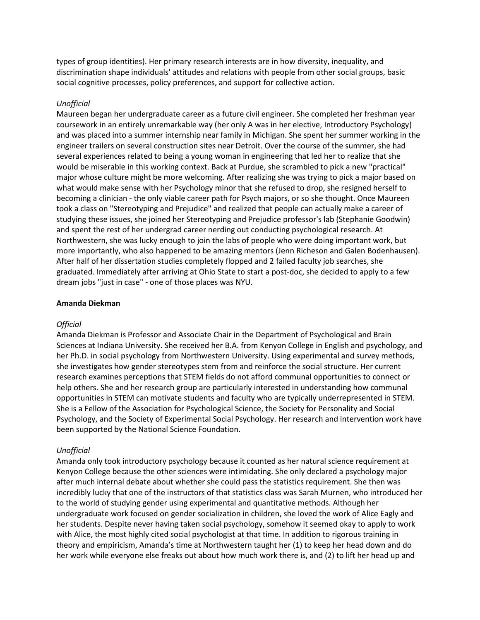types of group identities). Her primary research interests are in how diversity, inequality, and discrimination shape individuals' attitudes and relations with people from other social groups, basic social cognitive processes, policy preferences, and support for collective action.

#### *Unofficial*

Maureen began her undergraduate career as a future civil engineer. She completed her freshman year coursework in an entirely unremarkable way (her only A was in her elective, Introductory Psychology) and was placed into a summer internship near family in Michigan. She spent her summer working in the engineer trailers on several construction sites near Detroit. Over the course of the summer, she had several experiences related to being a young woman in engineering that led her to realize that she would be miserable in this working context. Back at Purdue, she scrambled to pick a new "practical" major whose culture might be more welcoming. After realizing she was trying to pick a major based on what would make sense with her Psychology minor that she refused to drop, she resigned herself to becoming a clinician - the only viable career path for Psych majors, or so she thought. Once Maureen took a class on "Stereotyping and Prejudice" and realized that people can actually make a career of studying these issues, she joined her Stereotyping and Prejudice professor's lab (Stephanie Goodwin) and spent the rest of her undergrad career nerding out conducting psychological research. At Northwestern, she was lucky enough to join the labs of people who were doing important work, but more importantly, who also happened to be amazing mentors (Jenn Richeson and Galen Bodenhausen). After half of her dissertation studies completely flopped and 2 failed faculty job searches, she graduated. Immediately after arriving at Ohio State to start a post-doc, she decided to apply to a few dream jobs "just in case" - one of those places was NYU.

#### **Amanda Diekman**

#### *Official*

Amanda Diekman is Professor and Associate Chair in the Department of Psychological and Brain Sciences at Indiana University. She received her B.A. from Kenyon College in English and psychology, and her Ph.D. in social psychology from Northwestern University. Using experimental and survey methods, she investigates how gender stereotypes stem from and reinforce the social structure. Her current research examines perceptions that STEM fields do not afford communal opportunities to connect or help others. She and her research group are particularly interested in understanding how communal opportunities in STEM can motivate students and faculty who are typically underrepresented in STEM. She is a Fellow of the Association for Psychological Science, the Society for Personality and Social Psychology, and the Society of Experimental Social Psychology. Her research and intervention work have been supported by the National Science Foundation.

#### *Unofficial*

Amanda only took introductory psychology because it counted as her natural science requirement at Kenyon College because the other sciences were intimidating. She only declared a psychology major after much internal debate about whether she could pass the statistics requirement. She then was incredibly lucky that one of the instructors of that statistics class was Sarah Murnen, who introduced her to the world of studying gender using experimental and quantitative methods. Although her undergraduate work focused on gender socialization in children, she loved the work of Alice Eagly and her students. Despite never having taken social psychology, somehow it seemed okay to apply to work with Alice, the most highly cited social psychologist at that time. In addition to rigorous training in theory and empiricism, Amanda's time at Northwestern taught her (1) to keep her head down and do her work while everyone else freaks out about how much work there is, and (2) to lift her head up and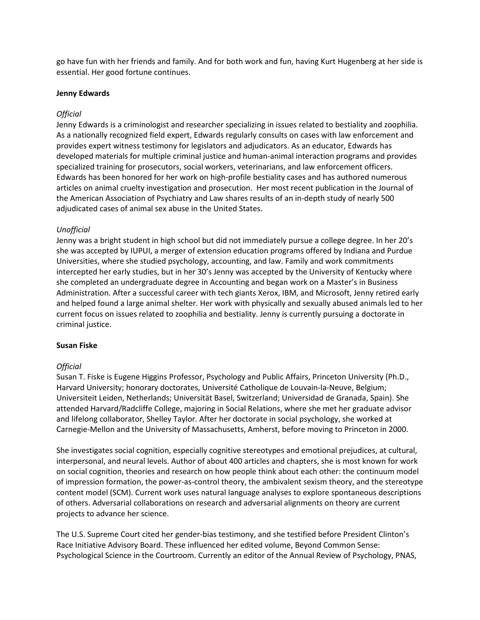go have fun with her friends and family. And for both work and fun, having Kurt Hugenberg at her side is essential. Her good fortune continues.

#### **Jenny Edwards**

## *Official*

Jenny Edwards is a criminologist and researcher specializing in issues related to bestiality and zoophilia. As a nationally recognized field expert, Edwards regularly consults on cases with law enforcement and provides expert witness testimony for legislators and adjudicators. As an educator, Edwards has developed materials for multiple criminal justice and human-animal interaction programs and provides specialized training for prosecutors, social workers, veterinarians, and law enforcement officers. Edwards has been honored for her work on high-profile bestiality cases and has authored numerous articles on animal cruelty investigation and prosecution. Her most recent publication in the Journal of the American Association of Psychiatry and Law shares results of an in-depth study of nearly 500 adjudicated cases of animal sex abuse in the United States.

### *Unofficial*

Jenny was a bright student in high school but did not immediately pursue a college degree. In her 20's she was accepted by IUPUI, a merger of extension education programs offered by Indiana and Purdue Universities, where she studied psychology, accounting, and law. Family and work commitments intercepted her early studies, but in her 30's Jenny was accepted by the University of Kentucky where she completed an undergraduate degree in Accounting and began work on a Master's in Business Administration. After a successful career with tech giants Xerox, IBM, and Microsoft, Jenny retired early and helped found a large animal shelter. Her work with physically and sexually abused animals led to her current focus on issues related to zoophilia and bestiality. Jenny is currently pursuing a doctorate in criminal justice.

#### **Susan Fiske**

### *Official*

Susan T. Fiske is Eugene Higgins Professor, Psychology and Public Affairs, Princeton University (Ph.D., Harvard University; honorary doctorates, Université Catholique de Louvain-la-Neuve, Belgium; Universiteit Leiden, Netherlands; Universität Basel, Switzerland; Universidad de Granada, Spain). She attended Harvard/Radcliffe College, majoring in Social Relations, where she met her graduate advisor and lifelong collaborator, Shelley Taylor. After her doctorate in social psychology, she worked at Carnegie-Mellon and the University of Massachusetts, Amherst, before moving to Princeton in 2000.

She investigates social cognition, especially cognitive stereotypes and emotional prejudices, at cultural, interpersonal, and neural levels. Author of about 400 articles and chapters, she is most known for work on social cognition, theories and research on how people think about each other: the continuum model of impression formation, the power-as-control theory, the ambivalent sexism theory, and the stereotype content model (SCM). Current work uses natural language analyses to explore spontaneous descriptions of others. Adversarial collaborations on research and adversarial alignments on theory are current projects to advance her science.

The U.S. Supreme Court cited her gender-bias testimony, and she testified before President Clinton's Race Initiative Advisory Board. These influenced her edited volume, Beyond Common Sense: Psychological Science in the Courtroom. Currently an editor of the Annual Review of Psychology, PNAS,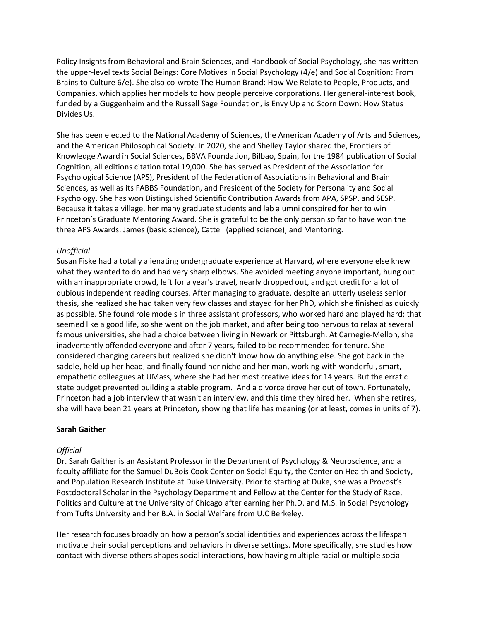Policy Insights from Behavioral and Brain Sciences, and Handbook of Social Psychology, she has written the upper-level texts Social Beings: Core Motives in Social Psychology (4/e) and Social Cognition: From Brains to Culture 6/e). She also co-wrote The Human Brand: How We Relate to People, Products, and Companies, which applies her models to how people perceive corporations. Her general-interest book, funded by a Guggenheim and the Russell Sage Foundation, is Envy Up and Scorn Down: How Status Divides Us.

She has been elected to the National Academy of Sciences, the American Academy of Arts and Sciences, and the American Philosophical Society. In 2020, she and Shelley Taylor shared the, Frontiers of Knowledge Award in Social Sciences, BBVA Foundation, Bilbao, Spain, for the 1984 publication of Social Cognition, all editions citation total 19,000. She has served as President of the Association for Psychological Science (APS), President of the Federation of Associations in Behavioral and Brain Sciences, as well as its FABBS Foundation, and President of the Society for Personality and Social Psychology. She has won Distinguished Scientific Contribution Awards from APA, SPSP, and SESP. Because it takes a village, her many graduate students and lab alumni conspired for her to win Princeton's Graduate Mentoring Award. She is grateful to be the only person so far to have won the three APS Awards: James (basic science), Cattell (applied science), and Mentoring.

### *Unofficial*

Susan Fiske had a totally alienating undergraduate experience at Harvard, where everyone else knew what they wanted to do and had very sharp elbows. She avoided meeting anyone important, hung out with an inappropriate crowd, left for a year's travel, nearly dropped out, and got credit for a lot of dubious independent reading courses. After managing to graduate, despite an utterly useless senior thesis, she realized she had taken very few classes and stayed for her PhD, which she finished as quickly as possible. She found role models in three assistant professors, who worked hard and played hard; that seemed like a good life, so she went on the job market, and after being too nervous to relax at several famous universities, she had a choice between living in Newark or Pittsburgh. At Carnegie-Mellon, she inadvertently offended everyone and after 7 years, failed to be recommended for tenure. She considered changing careers but realized she didn't know how do anything else. She got back in the saddle, held up her head, and finally found her niche and her man, working with wonderful, smart, empathetic colleagues at UMass, where she had her most creative ideas for 14 years. But the erratic state budget prevented building a stable program. And a divorce drove her out of town. Fortunately, Princeton had a job interview that wasn't an interview, and this time they hired her. When she retires, she will have been 21 years at Princeton, showing that life has meaning (or at least, comes in units of 7).

#### **Sarah Gaither**

#### *Official*

Dr. Sarah Gaither is an Assistant Professor in the Department of Psychology & Neuroscience, and a faculty affiliate for the Samuel DuBois Cook Center on Social Equity, the Center on Health and Society, and Population Research Institute at Duke University. Prior to starting at Duke, she was a Provost's Postdoctoral Scholar in the Psychology Department and Fellow at the Center for the Study of Race, Politics and Culture at the University of Chicago after earning her Ph.D. and M.S. in Social Psychology from Tufts University and her B.A. in Social Welfare from U.C Berkeley.

Her research focuses broadly on how a person's social identities and experiences across the lifespan motivate their social perceptions and behaviors in diverse settings. More specifically, she studies how contact with diverse others shapes social interactions, how having multiple racial or multiple social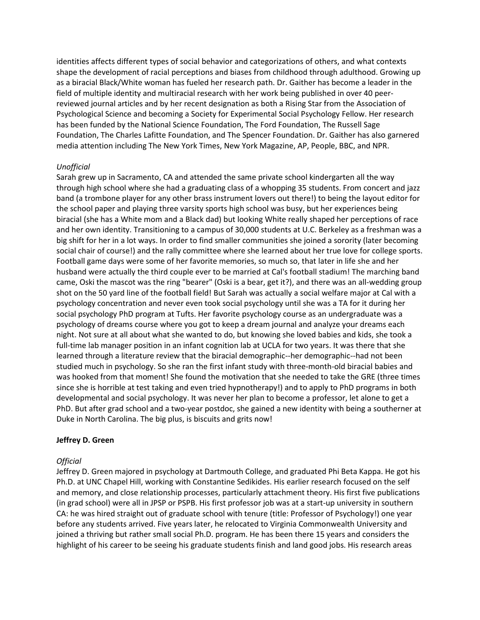identities affects different types of social behavior and categorizations of others, and what contexts shape the development of racial perceptions and biases from childhood through adulthood. Growing up as a biracial Black/White woman has fueled her research path. Dr. Gaither has become a leader in the field of multiple identity and multiracial research with her work being published in over 40 peerreviewed journal articles and by her recent designation as both a Rising Star from the Association of Psychological Science and becoming a Society for Experimental Social Psychology Fellow. Her research has been funded by the National Science Foundation, The Ford Foundation, The Russell Sage Foundation, The Charles Lafitte Foundation, and The Spencer Foundation. Dr. Gaither has also garnered media attention including The New York Times, New York Magazine, AP, People, BBC, and NPR.

### *Unofficial*

Sarah grew up in Sacramento, CA and attended the same private school kindergarten all the way through high school where she had a graduating class of a whopping 35 students. From concert and jazz band (a trombone player for any other brass instrument lovers out there!) to being the layout editor for the school paper and playing three varsity sports high school was busy, but her experiences being biracial (she has a White mom and a Black dad) but looking White really shaped her perceptions of race and her own identity. Transitioning to a campus of 30,000 students at U.C. Berkeley as a freshman was a big shift for her in a lot ways. In order to find smaller communities she joined a sorority (later becoming social chair of course!) and the rally committee where she learned about her true love for college sports. Football game days were some of her favorite memories, so much so, that later in life she and her husband were actually the third couple ever to be married at Cal's football stadium! The marching band came, Oski the mascot was the ring "bearer" (Oski is a bear, get it?), and there was an all-wedding group shot on the 50 yard line of the football field! But Sarah was actually a social welfare major at Cal with a psychology concentration and never even took social psychology until she was a TA for it during her social psychology PhD program at Tufts. Her favorite psychology course as an undergraduate was a psychology of dreams course where you got to keep a dream journal and analyze your dreams each night. Not sure at all about what she wanted to do, but knowing she loved babies and kids, she took a full-time lab manager position in an infant cognition lab at UCLA for two years. It was there that she learned through a literature review that the biracial demographic--her demographic--had not been studied much in psychology. So she ran the first infant study with three-month-old biracial babies and was hooked from that moment! She found the motivation that she needed to take the GRE (three times since she is horrible at test taking and even tried hypnotherapy!) and to apply to PhD programs in both developmental and social psychology. It was never her plan to become a professor, let alone to get a PhD. But after grad school and a two-year postdoc, she gained a new identity with being a southerner at Duke in North Carolina. The big plus, is biscuits and grits now!

### **Jeffrey D. Green**

### *Official*

Jeffrey D. Green majored in psychology at Dartmouth College, and graduated Phi Beta Kappa. He got his Ph.D. at UNC Chapel Hill, working with Constantine Sedikides. His earlier research focused on the self and memory, and close relationship processes, particularly attachment theory. His first five publications (in grad school) were all in JPSP or PSPB. His first professor job was at a start-up university in southern CA: he was hired straight out of graduate school with tenure (title: Professor of Psychology!) one year before any students arrived. Five years later, he relocated to Virginia Commonwealth University and joined a thriving but rather small social Ph.D. program. He has been there 15 years and considers the highlight of his career to be seeing his graduate students finish and land good jobs. His research areas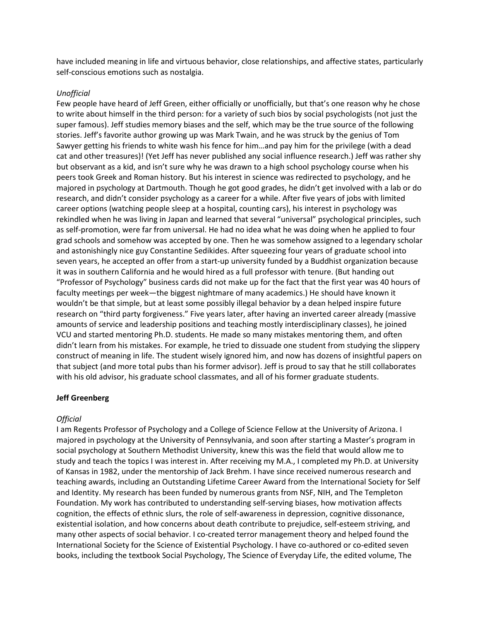have included meaning in life and virtuous behavior, close relationships, and affective states, particularly self-conscious emotions such as nostalgia.

#### *Unofficial*

Few people have heard of Jeff Green, either officially or unofficially, but that's one reason why he chose to write about himself in the third person: for a variety of such bios by social psychologists (not just the super famous). Jeff studies memory biases and the self, which may be the true source of the following stories. Jeff's favorite author growing up was Mark Twain, and he was struck by the genius of Tom Sawyer getting his friends to white wash his fence for him…and pay him for the privilege (with a dead cat and other treasures)! (Yet Jeff has never published any social influence research.) Jeff was rather shy but observant as a kid, and isn't sure why he was drawn to a high school psychology course when his peers took Greek and Roman history. But his interest in science was redirected to psychology, and he majored in psychology at Dartmouth. Though he got good grades, he didn't get involved with a lab or do research, and didn't consider psychology as a career for a while. After five years of jobs with limited career options (watching people sleep at a hospital, counting cars), his interest in psychology was rekindled when he was living in Japan and learned that several "universal" psychological principles, such as self-promotion, were far from universal. He had no idea what he was doing when he applied to four grad schools and somehow was accepted by one. Then he was somehow assigned to a legendary scholar and astonishingly nice guy Constantine Sedikides. After squeezing four years of graduate school into seven years, he accepted an offer from a start-up university funded by a Buddhist organization because it was in southern California and he would hired as a full professor with tenure. (But handing out "Professor of Psychology" business cards did not make up for the fact that the first year was 40 hours of faculty meetings per week—the biggest nightmare of many academics.) He should have known it wouldn't be that simple, but at least some possibly illegal behavior by a dean helped inspire future research on "third party forgiveness." Five years later, after having an inverted career already (massive amounts of service and leadership positions and teaching mostly interdisciplinary classes), he joined VCU and started mentoring Ph.D. students. He made so many mistakes mentoring them, and often didn't learn from his mistakes. For example, he tried to dissuade one student from studying the slippery construct of meaning in life. The student wisely ignored him, and now has dozens of insightful papers on that subject (and more total pubs than his former advisor). Jeff is proud to say that he still collaborates with his old advisor, his graduate school classmates, and all of his former graduate students.

### **Jeff Greenberg**

### *Official*

I am Regents Professor of Psychology and a College of Science Fellow at the University of Arizona. I majored in psychology at the University of Pennsylvania, and soon after starting a Master's program in social psychology at Southern Methodist University, knew this was the field that would allow me to study and teach the topics I was interest in. After receiving my M.A., I completed my Ph.D. at University of Kansas in 1982, under the mentorship of Jack Brehm. I have since received numerous research and teaching awards, including an Outstanding Lifetime Career Award from the International Society for Self and Identity. My research has been funded by numerous grants from NSF, NIH, and The Templeton Foundation. My work has contributed to understanding self-serving biases, how motivation affects cognition, the effects of ethnic slurs, the role of self-awareness in depression, cognitive dissonance, existential isolation, and how concerns about death contribute to prejudice, self-esteem striving, and many other aspects of social behavior. I co-created terror management theory and helped found the International Society for the Science of Existential Psychology. I have co-authored or co-edited seven books, including the textbook Social Psychology, The Science of Everyday Life, the edited volume, The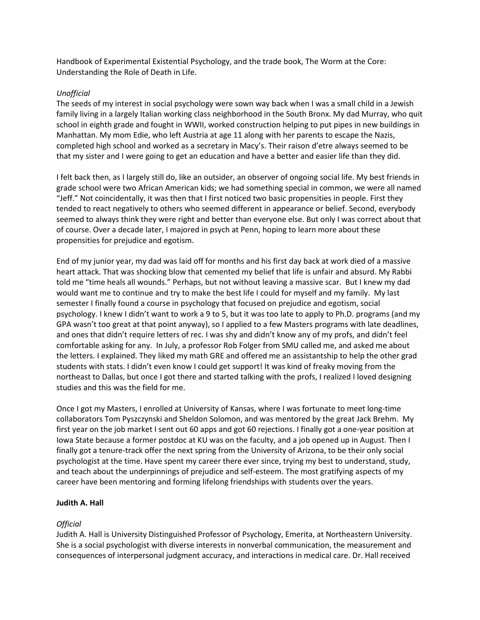Handbook of Experimental Existential Psychology, and the trade book, The Worm at the Core: Understanding the Role of Death in Life.

## *Unofficial*

The seeds of my interest in social psychology were sown way back when I was a small child in a Jewish family living in a largely Italian working class neighborhood in the South Bronx. My dad Murray, who quit school in eighth grade and fought in WWII, worked construction helping to put pipes in new buildings in Manhattan. My mom Edie, who left Austria at age 11 along with her parents to escape the Nazis, completed high school and worked as a secretary in Macy's. Their raison d'etre always seemed to be that my sister and I were going to get an education and have a better and easier life than they did.

I felt back then, as I largely still do, like an outsider, an observer of ongoing social life. My best friends in grade school were two African American kids; we had something special in common, we were all named "Jeff." Not coincidentally, it was then that I first noticed two basic propensities in people. First they tended to react negatively to others who seemed different in appearance or belief. Second, everybody seemed to always think they were right and better than everyone else. But only I was correct about that of course. Over a decade later, I majored in psych at Penn, hoping to learn more about these propensities for prejudice and egotism.

End of my junior year, my dad was laid off for months and his first day back at work died of a massive heart attack. That was shocking blow that cemented my belief that life is unfair and absurd. My Rabbi told me "time heals all wounds." Perhaps, but not without leaving a massive scar. But I knew my dad would want me to continue and try to make the best life I could for myself and my family. My last semester I finally found a course in psychology that focused on prejudice and egotism, social psychology. I knew I didn't want to work a 9 to 5, but it was too late to apply to Ph.D. programs (and my GPA wasn't too great at that point anyway), so I applied to a few Masters programs with late deadlines, and ones that didn't require letters of rec. I was shy and didn't know any of my profs, and didn't feel comfortable asking for any. In July, a professor Rob Folger from SMU called me, and asked me about the letters. I explained. They liked my math GRE and offered me an assistantship to help the other grad students with stats. I didn't even know I could get support! It was kind of freaky moving from the northeast to Dallas, but once I got there and started talking with the profs, I realized I loved designing studies and this was the field for me.

Once I got my Masters, I enrolled at University of Kansas, where I was fortunate to meet long-time collaborators Tom Pyszczynski and Sheldon Solomon, and was mentored by the great Jack Brehm. My first year on the job market I sent out 60 apps and got 60 rejections. I finally got a one-year position at Iowa State because a former postdoc at KU was on the faculty, and a job opened up in August. Then I finally got a tenure-track offer the next spring from the University of Arizona, to be their only social psychologist at the time. Have spent my career there ever since, trying my best to understand, study, and teach about the underpinnings of prejudice and self-esteem. The most gratifying aspects of my career have been mentoring and forming lifelong friendships with students over the years.

### **Judith A. Hall**

# *Official*

Judith A. Hall is University Distinguished Professor of Psychology, Emerita, at Northeastern University. She is a social psychologist with diverse interests in nonverbal communication, the measurement and consequences of interpersonal judgment accuracy, and interactions in medical care. Dr. Hall received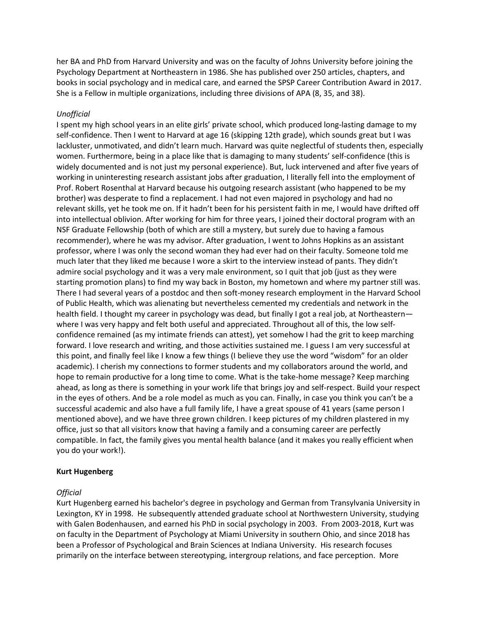her BA and PhD from Harvard University and was on the faculty of Johns University before joining the Psychology Department at Northeastern in 1986. She has published over 250 articles, chapters, and books in social psychology and in medical care, and earned the SPSP Career Contribution Award in 2017. She is a Fellow in multiple organizations, including three divisions of APA (8, 35, and 38).

### *Unofficial*

I spent my high school years in an elite girls' private school, which produced long-lasting damage to my self-confidence. Then I went to Harvard at age 16 (skipping 12th grade), which sounds great but I was lackluster, unmotivated, and didn't learn much. Harvard was quite neglectful of students then, especially women. Furthermore, being in a place like that is damaging to many students' self-confidence (this is widely documented and is not just my personal experience). But, luck intervened and after five years of working in uninteresting research assistant jobs after graduation, I literally fell into the employment of Prof. Robert Rosenthal at Harvard because his outgoing research assistant (who happened to be my brother) was desperate to find a replacement. I had not even majored in psychology and had no relevant skills, yet he took me on. If it hadn't been for his persistent faith in me, I would have drifted off into intellectual oblivion. After working for him for three years, I joined their doctoral program with an NSF Graduate Fellowship (both of which are still a mystery, but surely due to having a famous recommender), where he was my advisor. After graduation, I went to Johns Hopkins as an assistant professor, where I was only the second woman they had ever had on their faculty. Someone told me much later that they liked me because I wore a skirt to the interview instead of pants. They didn't admire social psychology and it was a very male environment, so I quit that job (just as they were starting promotion plans) to find my way back in Boston, my hometown and where my partner still was. There I had several years of a postdoc and then soft-money research employment in the Harvard School of Public Health, which was alienating but nevertheless cemented my credentials and network in the health field. I thought my career in psychology was dead, but finally I got a real job, at Northeasternwhere I was very happy and felt both useful and appreciated. Throughout all of this, the low selfconfidence remained (as my intimate friends can attest), yet somehow I had the grit to keep marching forward. I love research and writing, and those activities sustained me. I guess I am very successful at this point, and finally feel like I know a few things (I believe they use the word "wisdom" for an older academic). I cherish my connections to former students and my collaborators around the world, and hope to remain productive for a long time to come. What is the take-home message? Keep marching ahead, as long as there is something in your work life that brings joy and self-respect. Build your respect in the eyes of others. And be a role model as much as you can. Finally, in case you think you can't be a successful academic and also have a full family life, I have a great spouse of 41 years (same person I mentioned above), and we have three grown children. I keep pictures of my children plastered in my office, just so that all visitors know that having a family and a consuming career are perfectly compatible. In fact, the family gives you mental health balance (and it makes you really efficient when you do your work!).

#### **Kurt Hugenberg**

#### *Official*

Kurt Hugenberg earned his bachelor's degree in psychology and German from Transylvania University in Lexington, KY in 1998. He subsequently attended graduate school at Northwestern University, studying with Galen Bodenhausen, and earned his PhD in social psychology in 2003. From 2003-2018, Kurt was on faculty in the Department of Psychology at Miami University in southern Ohio, and since 2018 has been a Professor of Psychological and Brain Sciences at Indiana University. His research focuses primarily on the interface between stereotyping, intergroup relations, and face perception. More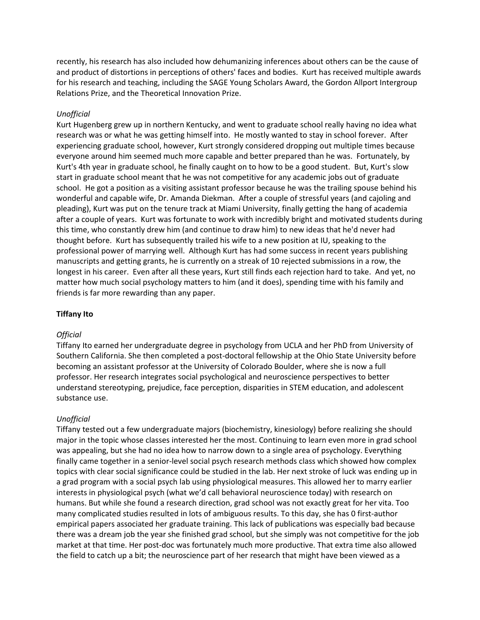recently, his research has also included how dehumanizing inferences about others can be the cause of and product of distortions in perceptions of others' faces and bodies. Kurt has received multiple awards for his research and teaching, including the SAGE Young Scholars Award, the Gordon Allport Intergroup Relations Prize, and the Theoretical Innovation Prize.

#### *Unofficial*

Kurt Hugenberg grew up in northern Kentucky, and went to graduate school really having no idea what research was or what he was getting himself into. He mostly wanted to stay in school forever. After experiencing graduate school, however, Kurt strongly considered dropping out multiple times because everyone around him seemed much more capable and better prepared than he was. Fortunately, by Kurt's 4th year in graduate school, he finally caught on to how to be a good student. But, Kurt's slow start in graduate school meant that he was not competitive for any academic jobs out of graduate school. He got a position as a visiting assistant professor because he was the trailing spouse behind his wonderful and capable wife, Dr. Amanda Diekman. After a couple of stressful years (and cajoling and pleading), Kurt was put on the tenure track at Miami University, finally getting the hang of academia after a couple of years. Kurt was fortunate to work with incredibly bright and motivated students during this time, who constantly drew him (and continue to draw him) to new ideas that he'd never had thought before. Kurt has subsequently trailed his wife to a new position at IU, speaking to the professional power of marrying well. Although Kurt has had some success in recent years publishing manuscripts and getting grants, he is currently on a streak of 10 rejected submissions in a row, the longest in his career. Even after all these years, Kurt still finds each rejection hard to take. And yet, no matter how much social psychology matters to him (and it does), spending time with his family and friends is far more rewarding than any paper.

#### **Tiffany Ito**

#### *Official*

Tiffany Ito earned her undergraduate degree in psychology from UCLA and her PhD from University of Southern California. She then completed a post-doctoral fellowship at the Ohio State University before becoming an assistant professor at the University of Colorado Boulder, where she is now a full professor. Her research integrates social psychological and neuroscience perspectives to better understand stereotyping, prejudice, face perception, disparities in STEM education, and adolescent substance use.

#### *Unofficial*

Tiffany tested out a few undergraduate majors (biochemistry, kinesiology) before realizing she should major in the topic whose classes interested her the most. Continuing to learn even more in grad school was appealing, but she had no idea how to narrow down to a single area of psychology. Everything finally came together in a senior-level social psych research methods class which showed how complex topics with clear social significance could be studied in the lab. Her next stroke of luck was ending up in a grad program with a social psych lab using physiological measures. This allowed her to marry earlier interests in physiological psych (what we'd call behavioral neuroscience today) with research on humans. But while she found a research direction, grad school was not exactly great for her vita. Too many complicated studies resulted in lots of ambiguous results. To this day, she has 0 first-author empirical papers associated her graduate training. This lack of publications was especially bad because there was a dream job the year she finished grad school, but she simply was not competitive for the job market at that time. Her post-doc was fortunately much more productive. That extra time also allowed the field to catch up a bit; the neuroscience part of her research that might have been viewed as a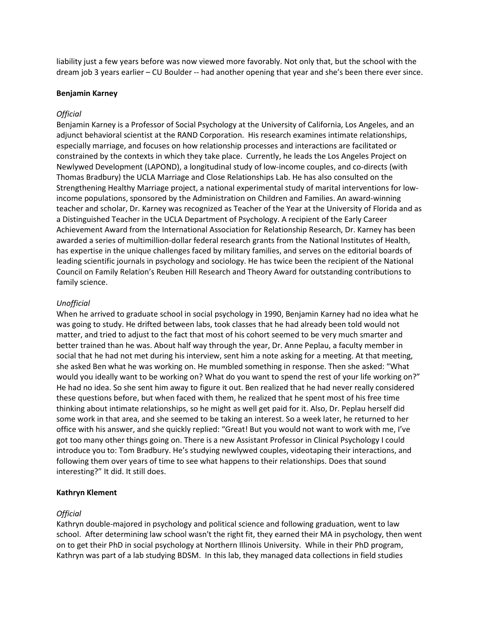liability just a few years before was now viewed more favorably. Not only that, but the school with the dream job 3 years earlier – CU Boulder -- had another opening that year and she's been there ever since.

#### **Benjamin Karney**

#### *Official*

Benjamin Karney is a Professor of Social Psychology at the University of California, Los Angeles, and an adjunct behavioral scientist at the RAND Corporation. His research examines intimate relationships, especially marriage, and focuses on how relationship processes and interactions are facilitated or constrained by the contexts in which they take place. Currently, he leads the Los Angeles Project on Newlywed Development (LAPOND), a longitudinal study of low-income couples, and co-directs (with Thomas Bradbury) the UCLA Marriage and Close Relationships Lab. He has also consulted on the Strengthening Healthy Marriage project, a national experimental study of marital interventions for lowincome populations, sponsored by the Administration on Children and Families. An award-winning teacher and scholar, Dr. Karney was recognized as Teacher of the Year at the University of Florida and as a Distinguished Teacher in the UCLA Department of Psychology. A recipient of the Early Career Achievement Award from the International Association for Relationship Research, Dr. Karney has been awarded a series of multimillion-dollar federal research grants from the National Institutes of Health, has expertise in the unique challenges faced by military families, and serves on the editorial boards of leading scientific journals in psychology and sociology. He has twice been the recipient of the National Council on Family Relation's Reuben Hill Research and Theory Award for outstanding contributions to family science.

#### *Unofficial*

When he arrived to graduate school in social psychology in 1990, Benjamin Karney had no idea what he was going to study. He drifted between labs, took classes that he had already been told would not matter, and tried to adjust to the fact that most of his cohort seemed to be very much smarter and better trained than he was. About half way through the year, Dr. Anne Peplau, a faculty member in social that he had not met during his interview, sent him a note asking for a meeting. At that meeting, she asked Ben what he was working on. He mumbled something in response. Then she asked: "What would you ideally want to be working on? What do you want to spend the rest of your life working on?" He had no idea. So she sent him away to figure it out. Ben realized that he had never really considered these questions before, but when faced with them, he realized that he spent most of his free time thinking about intimate relationships, so he might as well get paid for it. Also, Dr. Peplau herself did some work in that area, and she seemed to be taking an interest. So a week later, he returned to her office with his answer, and she quickly replied: "Great! But you would not want to work with me, I've got too many other things going on. There is a new Assistant Professor in Clinical Psychology I could introduce you to: Tom Bradbury. He's studying newlywed couples, videotaping their interactions, and following them over years of time to see what happens to their relationships. Does that sound interesting?" It did. It still does.

#### **Kathryn Klement**

#### *Official*

Kathryn double-majored in psychology and political science and following graduation, went to law school. After determining law school wasn't the right fit, they earned their MA in psychology, then went on to get their PhD in social psychology at Northern Illinois University. While in their PhD program, Kathryn was part of a lab studying BDSM. In this lab, they managed data collections in field studies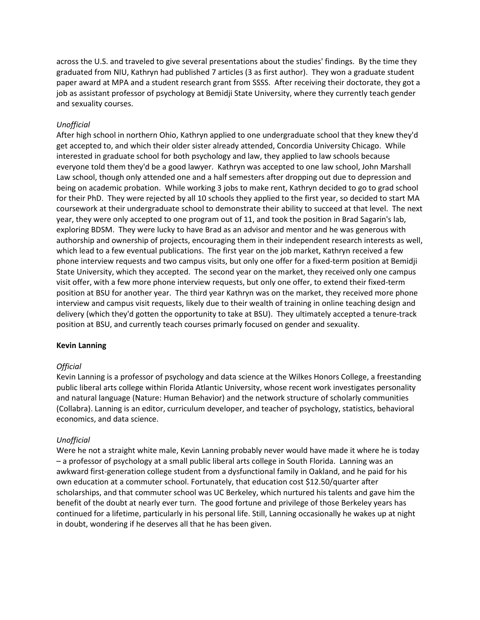across the U.S. and traveled to give several presentations about the studies' findings. By the time they graduated from NIU, Kathryn had published 7 articles (3 as first author). They won a graduate student paper award at MPA and a student research grant from SSSS. After receiving their doctorate, they got a job as assistant professor of psychology at Bemidji State University, where they currently teach gender and sexuality courses.

## *Unofficial*

After high school in northern Ohio, Kathryn applied to one undergraduate school that they knew they'd get accepted to, and which their older sister already attended, Concordia University Chicago. While interested in graduate school for both psychology and law, they applied to law schools because everyone told them they'd be a good lawyer. Kathryn was accepted to one law school, John Marshall Law school, though only attended one and a half semesters after dropping out due to depression and being on academic probation. While working 3 jobs to make rent, Kathryn decided to go to grad school for their PhD. They were rejected by all 10 schools they applied to the first year, so decided to start MA coursework at their undergraduate school to demonstrate their ability to succeed at that level. The next year, they were only accepted to one program out of 11, and took the position in Brad Sagarin's lab, exploring BDSM. They were lucky to have Brad as an advisor and mentor and he was generous with authorship and ownership of projects, encouraging them in their independent research interests as well, which lead to a few eventual publications. The first year on the job market, Kathryn received a few phone interview requests and two campus visits, but only one offer for a fixed-term position at Bemidji State University, which they accepted. The second year on the market, they received only one campus visit offer, with a few more phone interview requests, but only one offer, to extend their fixed-term position at BSU for another year. The third year Kathryn was on the market, they received more phone interview and campus visit requests, likely due to their wealth of training in online teaching design and delivery (which they'd gotten the opportunity to take at BSU). They ultimately accepted a tenure-track position at BSU, and currently teach courses primarly focused on gender and sexuality.

### **Kevin Lanning**

### *Official*

Kevin Lanning is a professor of psychology and data science at the Wilkes Honors College, a freestanding public liberal arts college within Florida Atlantic University, whose recent work investigates personality and natural language (Nature: Human Behavior) and the network structure of scholarly communities (Collabra). Lanning is an editor, curriculum developer, and teacher of psychology, statistics, behavioral economics, and data science.

### *Unofficial*

Were he not a straight white male, Kevin Lanning probably never would have made it where he is today – a professor of psychology at a small public liberal arts college in South Florida. Lanning was an awkward first-generation college student from a dysfunctional family in Oakland, and he paid for his own education at a commuter school. Fortunately, that education cost \$12.50/quarter after scholarships, and that commuter school was UC Berkeley, which nurtured his talents and gave him the benefit of the doubt at nearly ever turn. The good fortune and privilege of those Berkeley years has continued for a lifetime, particularly in his personal life. Still, Lanning occasionally he wakes up at night in doubt, wondering if he deserves all that he has been given.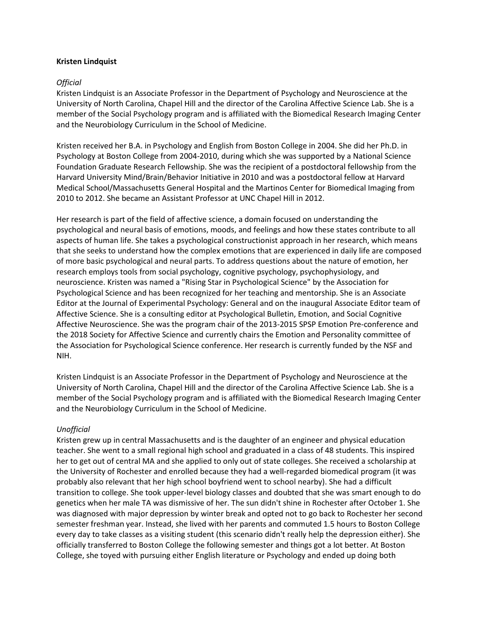### **Kristen Lindquist**

### *Official*

Kristen Lindquist is an Associate Professor in the Department of Psychology and Neuroscience at the University of North Carolina, Chapel Hill and the director of the Carolina Affective Science Lab. She is a member of the Social Psychology program and is affiliated with the Biomedical Research Imaging Center and the Neurobiology Curriculum in the School of Medicine.

Kristen received her B.A. in Psychology and English from Boston College in 2004. She did her Ph.D. in Psychology at Boston College from 2004-2010, during which she was supported by a National Science Foundation Graduate Research Fellowship. She was the recipient of a postdoctoral fellowship from the Harvard University Mind/Brain/Behavior Initiative in 2010 and was a postdoctoral fellow at Harvard Medical School/Massachusetts General Hospital and the Martinos Center for Biomedical Imaging from 2010 to 2012. She became an Assistant Professor at UNC Chapel Hill in 2012.

Her research is part of the field of affective science, a domain focused on understanding the psychological and neural basis of emotions, moods, and feelings and how these states contribute to all aspects of human life. She takes a psychological constructionist approach in her research, which means that she seeks to understand how the complex emotions that are experienced in daily life are composed of more basic psychological and neural parts. To address questions about the nature of emotion, her research employs tools from social psychology, cognitive psychology, psychophysiology, and neuroscience. Kristen was named a "Rising Star in Psychological Science" by the Association for Psychological Science and has been recognized for her teaching and mentorship. She is an Associate Editor at the Journal of Experimental Psychology: General and on the inaugural Associate Editor team of Affective Science. She is a consulting editor at Psychological Bulletin, Emotion, and Social Cognitive Affective Neuroscience. She was the program chair of the 2013-2015 SPSP Emotion Pre-conference and the 2018 Society for Affective Science and currently chairs the Emotion and Personality committee of the Association for Psychological Science conference. Her research is currently funded by the NSF and NIH.

Kristen Lindquist is an Associate Professor in the Department of Psychology and Neuroscience at the University of North Carolina, Chapel Hill and the director of the Carolina Affective Science Lab. She is a member of the Social Psychology program and is affiliated with the Biomedical Research Imaging Center and the Neurobiology Curriculum in the School of Medicine.

#### *Unofficial*

Kristen grew up in central Massachusetts and is the daughter of an engineer and physical education teacher. She went to a small regional high school and graduated in a class of 48 students. This inspired her to get out of central MA and she applied to only out of state colleges. She received a scholarship at the University of Rochester and enrolled because they had a well-regarded biomedical program (it was probably also relevant that her high school boyfriend went to school nearby). She had a difficult transition to college. She took upper-level biology classes and doubted that she was smart enough to do genetics when her male TA was dismissive of her. The sun didn't shine in Rochester after October 1. She was diagnosed with major depression by winter break and opted not to go back to Rochester her second semester freshman year. Instead, she lived with her parents and commuted 1.5 hours to Boston College every day to take classes as a visiting student (this scenario didn't really help the depression either). She officially transferred to Boston College the following semester and things got a lot better. At Boston College, she toyed with pursuing either English literature or Psychology and ended up doing both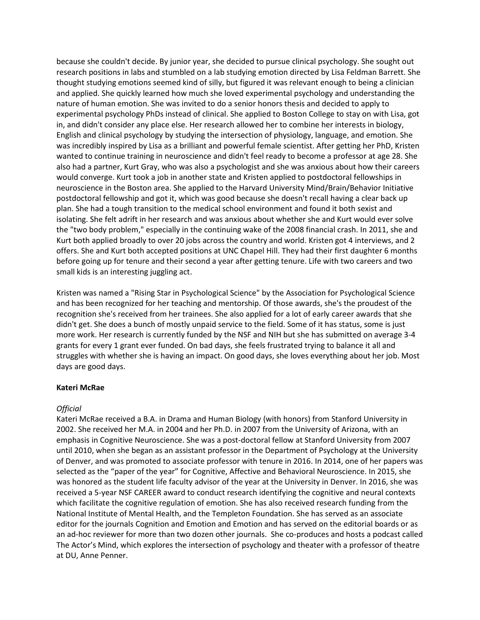because she couldn't decide. By junior year, she decided to pursue clinical psychology. She sought out research positions in labs and stumbled on a lab studying emotion directed by Lisa Feldman Barrett. She thought studying emotions seemed kind of silly, but figured it was relevant enough to being a clinician and applied. She quickly learned how much she loved experimental psychology and understanding the nature of human emotion. She was invited to do a senior honors thesis and decided to apply to experimental psychology PhDs instead of clinical. She applied to Boston College to stay on with Lisa, got in, and didn't consider any place else. Her research allowed her to combine her interests in biology, English and clinical psychology by studying the intersection of physiology, language, and emotion. She was incredibly inspired by Lisa as a brilliant and powerful female scientist. After getting her PhD, Kristen wanted to continue training in neuroscience and didn't feel ready to become a professor at age 28. She also had a partner, Kurt Gray, who was also a psychologist and she was anxious about how their careers would converge. Kurt took a job in another state and Kristen applied to postdoctoral fellowships in neuroscience in the Boston area. She applied to the Harvard University Mind/Brain/Behavior Initiative postdoctoral fellowship and got it, which was good because she doesn't recall having a clear back up plan. She had a tough transition to the medical school environment and found it both sexist and isolating. She felt adrift in her research and was anxious about whether she and Kurt would ever solve the "two body problem," especially in the continuing wake of the 2008 financial crash. In 2011, she and Kurt both applied broadly to over 20 jobs across the country and world. Kristen got 4 interviews, and 2 offers. She and Kurt both accepted positions at UNC Chapel Hill. They had their first daughter 6 months before going up for tenure and their second a year after getting tenure. Life with two careers and two small kids is an interesting juggling act.

Kristen was named a "Rising Star in Psychological Science" by the Association for Psychological Science and has been recognized for her teaching and mentorship. Of those awards, she's the proudest of the recognition she's received from her trainees. She also applied for a lot of early career awards that she didn't get. She does a bunch of mostly unpaid service to the field. Some of it has status, some is just more work. Her research is currently funded by the NSF and NIH but she has submitted on average 3-4 grants for every 1 grant ever funded. On bad days, she feels frustrated trying to balance it all and struggles with whether she is having an impact. On good days, she loves everything about her job. Most days are good days.

#### **Kateri McRae**

#### *Official*

Kateri McRae received a B.A. in Drama and Human Biology (with honors) from Stanford University in 2002. She received her M.A. in 2004 and her Ph.D. in 2007 from the University of Arizona, with an emphasis in Cognitive Neuroscience. She was a post-doctoral fellow at Stanford University from 2007 until 2010, when she began as an assistant professor in the Department of Psychology at the University of Denver, and was promoted to associate professor with tenure in 2016. In 2014, one of her papers was selected as the "paper of the year" for Cognitive, Affective and Behavioral Neuroscience. In 2015, she was honored as the student life faculty advisor of the year at the University in Denver. In 2016, she was received a 5-year NSF CAREER award to conduct research identifying the cognitive and neural contexts which facilitate the cognitive regulation of emotion. She has also received research funding from the National Institute of Mental Health, and the Templeton Foundation. She has served as an associate editor for the journals Cognition and Emotion and Emotion and has served on the editorial boards or as an ad-hoc reviewer for more than two dozen other journals. She co-produces and hosts a podcast called The Actor's Mind, which explores the intersection of psychology and theater with a professor of theatre at DU, Anne Penner.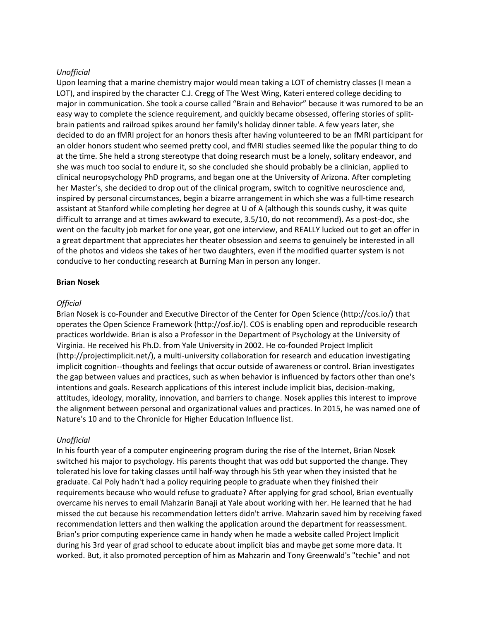### *Unofficial*

Upon learning that a marine chemistry major would mean taking a LOT of chemistry classes (I mean a LOT), and inspired by the character C.J. Cregg of The West Wing, Kateri entered college deciding to major in communication. She took a course called "Brain and Behavior" because it was rumored to be an easy way to complete the science requirement, and quickly became obsessed, offering stories of splitbrain patients and railroad spikes around her family's holiday dinner table. A few years later, she decided to do an fMRI project for an honors thesis after having volunteered to be an fMRI participant for an older honors student who seemed pretty cool, and fMRI studies seemed like the popular thing to do at the time. She held a strong stereotype that doing research must be a lonely, solitary endeavor, and she was much too social to endure it, so she concluded she should probably be a clinician, applied to clinical neuropsychology PhD programs, and began one at the University of Arizona. After completing her Master's, she decided to drop out of the clinical program, switch to cognitive neuroscience and, inspired by personal circumstances, begin a bizarre arrangement in which she was a full-time research assistant at Stanford while completing her degree at U of A (although this sounds cushy, it was quite difficult to arrange and at times awkward to execute, 3.5/10, do not recommend). As a post-doc, she went on the faculty job market for one year, got one interview, and REALLY lucked out to get an offer in a great department that appreciates her theater obsession and seems to genuinely be interested in all of the photos and videos she takes of her two daughters, even if the modified quarter system is not conducive to her conducting research at Burning Man in person any longer.

#### **Brian Nosek**

#### *Official*

Brian Nosek is co-Founder and Executive Director of the Center for Open Science (http://cos.io/) that operates the Open Science Framework (http://osf.io/). COS is enabling open and reproducible research practices worldwide. Brian is also a Professor in the Department of Psychology at the University of Virginia. He received his Ph.D. from Yale University in 2002. He co-founded Project Implicit (http://projectimplicit.net/), a multi-university collaboration for research and education investigating implicit cognition--thoughts and feelings that occur outside of awareness or control. Brian investigates the gap between values and practices, such as when behavior is influenced by factors other than one's intentions and goals. Research applications of this interest include implicit bias, decision-making, attitudes, ideology, morality, innovation, and barriers to change. Nosek applies this interest to improve the alignment between personal and organizational values and practices. In 2015, he was named one of Nature's 10 and to the Chronicle for Higher Education Influence list.

#### *Unofficial*

In his fourth year of a computer engineering program during the rise of the Internet, Brian Nosek switched his major to psychology. His parents thought that was odd but supported the change. They tolerated his love for taking classes until half-way through his 5th year when they insisted that he graduate. Cal Poly hadn't had a policy requiring people to graduate when they finished their requirements because who would refuse to graduate? After applying for grad school, Brian eventually overcame his nerves to email Mahzarin Banaji at Yale about working with her. He learned that he had missed the cut because his recommendation letters didn't arrive. Mahzarin saved him by receiving faxed recommendation letters and then walking the application around the department for reassessment. Brian's prior computing experience came in handy when he made a website called Project Implicit during his 3rd year of grad school to educate about implicit bias and maybe get some more data. It worked. But, it also promoted perception of him as Mahzarin and Tony Greenwald's "techie" and not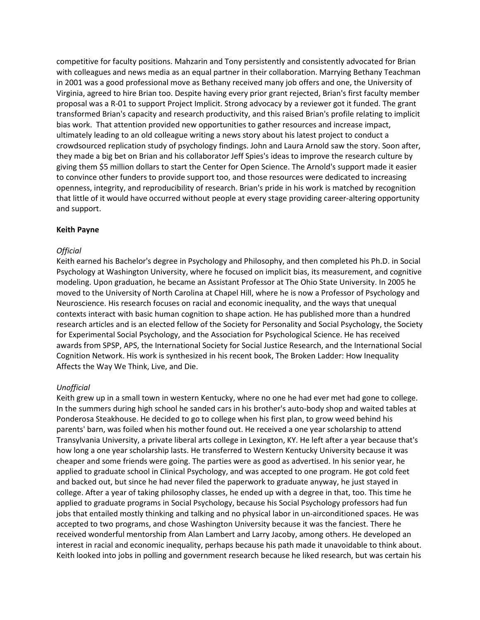competitive for faculty positions. Mahzarin and Tony persistently and consistently advocated for Brian with colleagues and news media as an equal partner in their collaboration. Marrying Bethany Teachman in 2001 was a good professional move as Bethany received many job offers and one, the University of Virginia, agreed to hire Brian too. Despite having every prior grant rejected, Brian's first faculty member proposal was a R-01 to support Project Implicit. Strong advocacy by a reviewer got it funded. The grant transformed Brian's capacity and research productivity, and this raised Brian's profile relating to implicit bias work. That attention provided new opportunities to gather resources and increase impact, ultimately leading to an old colleague writing a news story about his latest project to conduct a crowdsourced replication study of psychology findings. John and Laura Arnold saw the story. Soon after, they made a big bet on Brian and his collaborator Jeff Spies's ideas to improve the research culture by giving them \$5 million dollars to start the Center for Open Science. The Arnold's support made it easier to convince other funders to provide support too, and those resources were dedicated to increasing openness, integrity, and reproducibility of research. Brian's pride in his work is matched by recognition that little of it would have occurred without people at every stage providing career-altering opportunity and support.

#### **Keith Payne**

### *Official*

Keith earned his Bachelor's degree in Psychology and Philosophy, and then completed his Ph.D. in Social Psychology at Washington University, where he focused on implicit bias, its measurement, and cognitive modeling. Upon graduation, he became an Assistant Professor at The Ohio State University. In 2005 he moved to the University of North Carolina at Chapel Hill, where he is now a Professor of Psychology and Neuroscience. His research focuses on racial and economic inequality, and the ways that unequal contexts interact with basic human cognition to shape action. He has published more than a hundred research articles and is an elected fellow of the Society for Personality and Social Psychology, the Society for Experimental Social Psychology, and the Association for Psychological Science. He has received awards from SPSP, APS, the International Society for Social Justice Research, and the International Social Cognition Network. His work is synthesized in his recent book, The Broken Ladder: How Inequality Affects the Way We Think, Live, and Die.

### *Unofficial*

Keith grew up in a small town in western Kentucky, where no one he had ever met had gone to college. In the summers during high school he sanded cars in his brother's auto-body shop and waited tables at Ponderosa Steakhouse. He decided to go to college when his first plan, to grow weed behind his parents' barn, was foiled when his mother found out. He received a one year scholarship to attend Transylvania University, a private liberal arts college in Lexington, KY. He left after a year because that's how long a one year scholarship lasts. He transferred to Western Kentucky University because it was cheaper and some friends were going. The parties were as good as advertised. In his senior year, he applied to graduate school in Clinical Psychology, and was accepted to one program. He got cold feet and backed out, but since he had never filed the paperwork to graduate anyway, he just stayed in college. After a year of taking philosophy classes, he ended up with a degree in that, too. This time he applied to graduate programs in Social Psychology, because his Social Psychology professors had fun jobs that entailed mostly thinking and talking and no physical labor in un-airconditioned spaces. He was accepted to two programs, and chose Washington University because it was the fanciest. There he received wonderful mentorship from Alan Lambert and Larry Jacoby, among others. He developed an interest in racial and economic inequality, perhaps because his path made it unavoidable to think about. Keith looked into jobs in polling and government research because he liked research, but was certain his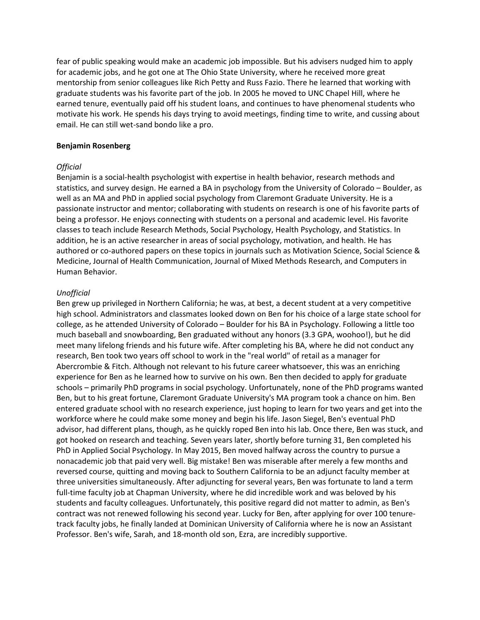fear of public speaking would make an academic job impossible. But his advisers nudged him to apply for academic jobs, and he got one at The Ohio State University, where he received more great mentorship from senior colleagues like Rich Petty and Russ Fazio. There he learned that working with graduate students was his favorite part of the job. In 2005 he moved to UNC Chapel Hill, where he earned tenure, eventually paid off his student loans, and continues to have phenomenal students who motivate his work. He spends his days trying to avoid meetings, finding time to write, and cussing about email. He can still wet-sand bondo like a pro.

#### **Benjamin Rosenberg**

### *Official*

Benjamin is a social-health psychologist with expertise in health behavior, research methods and statistics, and survey design. He earned a BA in psychology from the University of Colorado – Boulder, as well as an MA and PhD in applied social psychology from Claremont Graduate University. He is a passionate instructor and mentor; collaborating with students on research is one of his favorite parts of being a professor. He enjoys connecting with students on a personal and academic level. His favorite classes to teach include Research Methods, Social Psychology, Health Psychology, and Statistics. In addition, he is an active researcher in areas of social psychology, motivation, and health. He has authored or co-authored papers on these topics in journals such as Motivation Science, Social Science & Medicine, Journal of Health Communication, Journal of Mixed Methods Research, and Computers in Human Behavior.

### *Unofficial*

Ben grew up privileged in Northern California; he was, at best, a decent student at a very competitive high school. Administrators and classmates looked down on Ben for his choice of a large state school for college, as he attended University of Colorado – Boulder for his BA in Psychology. Following a little too much baseball and snowboarding, Ben graduated without any honors (3.3 GPA, woohoo!), but he did meet many lifelong friends and his future wife. After completing his BA, where he did not conduct any research, Ben took two years off school to work in the "real world" of retail as a manager for Abercrombie & Fitch. Although not relevant to his future career whatsoever, this was an enriching experience for Ben as he learned how to survive on his own. Ben then decided to apply for graduate schools – primarily PhD programs in social psychology. Unfortunately, none of the PhD programs wanted Ben, but to his great fortune, Claremont Graduate University's MA program took a chance on him. Ben entered graduate school with no research experience, just hoping to learn for two years and get into the workforce where he could make some money and begin his life. Jason Siegel, Ben's eventual PhD advisor, had different plans, though, as he quickly roped Ben into his lab. Once there, Ben was stuck, and got hooked on research and teaching. Seven years later, shortly before turning 31, Ben completed his PhD in Applied Social Psychology. In May 2015, Ben moved halfway across the country to pursue a nonacademic job that paid very well. Big mistake! Ben was miserable after merely a few months and reversed course, quitting and moving back to Southern California to be an adjunct faculty member at three universities simultaneously. After adjuncting for several years, Ben was fortunate to land a term full-time faculty job at Chapman University, where he did incredible work and was beloved by his students and faculty colleagues. Unfortunately, this positive regard did not matter to admin, as Ben's contract was not renewed following his second year. Lucky for Ben, after applying for over 100 tenuretrack faculty jobs, he finally landed at Dominican University of California where he is now an Assistant Professor. Ben's wife, Sarah, and 18-month old son, Ezra, are incredibly supportive.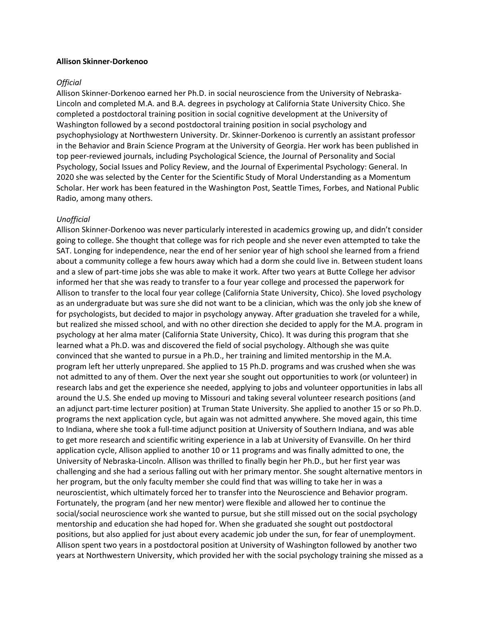#### **Allison Skinner-Dorkenoo**

#### *Official*

Allison Skinner-Dorkenoo earned her Ph.D. in social neuroscience from the University of Nebraska-Lincoln and completed M.A. and B.A. degrees in psychology at California State University Chico. She completed a postdoctoral training position in social cognitive development at the University of Washington followed by a second postdoctoral training position in social psychology and psychophysiology at Northwestern University. Dr. Skinner-Dorkenoo is currently an assistant professor in the Behavior and Brain Science Program at the University of Georgia. Her work has been published in top peer-reviewed journals, including Psychological Science, the Journal of Personality and Social Psychology, Social Issues and Policy Review, and the Journal of Experimental Psychology: General. In 2020 she was selected by the Center for the Scientific Study of Moral Understanding as a Momentum Scholar. Her work has been featured in the Washington Post, Seattle Times, Forbes, and National Public Radio, among many others.

#### *Unofficial*

Allison Skinner-Dorkenoo was never particularly interested in academics growing up, and didn't consider going to college. She thought that college was for rich people and she never even attempted to take the SAT. Longing for independence, near the end of her senior year of high school she learned from a friend about a community college a few hours away which had a dorm she could live in. Between student loans and a slew of part-time jobs she was able to make it work. After two years at Butte College her advisor informed her that she was ready to transfer to a four year college and processed the paperwork for Allison to transfer to the local four year college (California State University, Chico). She loved psychology as an undergraduate but was sure she did not want to be a clinician, which was the only job she knew of for psychologists, but decided to major in psychology anyway. After graduation she traveled for a while, but realized she missed school, and with no other direction she decided to apply for the M.A. program in psychology at her alma mater (California State University, Chico). It was during this program that she learned what a Ph.D. was and discovered the field of social psychology. Although she was quite convinced that she wanted to pursue in a Ph.D., her training and limited mentorship in the M.A. program left her utterly unprepared. She applied to 15 Ph.D. programs and was crushed when she was not admitted to any of them. Over the next year she sought out opportunities to work (or volunteer) in research labs and get the experience she needed, applying to jobs and volunteer opportunities in labs all around the U.S. She ended up moving to Missouri and taking several volunteer research positions (and an adjunct part-time lecturer position) at Truman State University. She applied to another 15 or so Ph.D. programs the next application cycle, but again was not admitted anywhere. She moved again, this time to Indiana, where she took a full-time adjunct position at University of Southern Indiana, and was able to get more research and scientific writing experience in a lab at University of Evansville. On her third application cycle, Allison applied to another 10 or 11 programs and was finally admitted to one, the University of Nebraska-Lincoln. Allison was thrilled to finally begin her Ph.D., but her first year was challenging and she had a serious falling out with her primary mentor. She sought alternative mentors in her program, but the only faculty member she could find that was willing to take her in was a neuroscientist, which ultimately forced her to transfer into the Neuroscience and Behavior program. Fortunately, the program (and her new mentor) were flexible and allowed her to continue the social/social neuroscience work she wanted to pursue, but she still missed out on the social psychology mentorship and education she had hoped for. When she graduated she sought out postdoctoral positions, but also applied for just about every academic job under the sun, for fear of unemployment. Allison spent two years in a postdoctoral position at University of Washington followed by another two years at Northwestern University, which provided her with the social psychology training she missed as a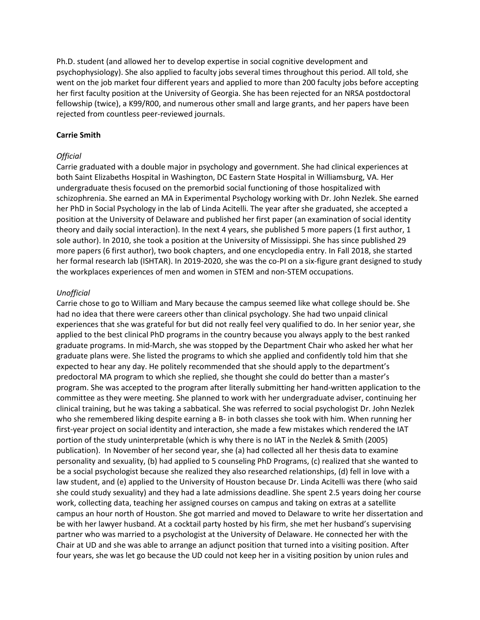Ph.D. student (and allowed her to develop expertise in social cognitive development and psychophysiology). She also applied to faculty jobs several times throughout this period. All told, she went on the job market four different years and applied to more than 200 faculty jobs before accepting her first faculty position at the University of Georgia. She has been rejected for an NRSA postdoctoral fellowship (twice), a K99/R00, and numerous other small and large grants, and her papers have been rejected from countless peer-reviewed journals.

### **Carrie Smith**

### *Official*

Carrie graduated with a double major in psychology and government. She had clinical experiences at both Saint Elizabeths Hospital in Washington, DC Eastern State Hospital in Williamsburg, VA. Her undergraduate thesis focused on the premorbid social functioning of those hospitalized with schizophrenia. She earned an MA in Experimental Psychology working with Dr. John Nezlek. She earned her PhD in Social Psychology in the lab of Linda Acitelli. The year after she graduated, she accepted a position at the University of Delaware and published her first paper (an examination of social identity theory and daily social interaction). In the next 4 years, she published 5 more papers (1 first author, 1 sole author). In 2010, she took a position at the University of Mississippi. She has since published 29 more papers (6 first author), two book chapters, and one encyclopedia entry. In Fall 2018, she started her formal research lab (ISHTAR). In 2019-2020, she was the co-PI on a six-figure grant designed to study the workplaces experiences of men and women in STEM and non-STEM occupations.

### *Unofficial*

Carrie chose to go to William and Mary because the campus seemed like what college should be. She had no idea that there were careers other than clinical psychology. She had two unpaid clinical experiences that she was grateful for but did not really feel very qualified to do. In her senior year, she applied to the best clinical PhD programs in the country because you always apply to the best ranked graduate programs. In mid-March, she was stopped by the Department Chair who asked her what her graduate plans were. She listed the programs to which she applied and confidently told him that she expected to hear any day. He politely recommended that she should apply to the department's predoctoral MA program to which she replied, she thought she could do better than a master's program. She was accepted to the program after literally submitting her hand-written application to the committee as they were meeting. She planned to work with her undergraduate adviser, continuing her clinical training, but he was taking a sabbatical. She was referred to social psychologist Dr. John Nezlek who she remembered liking despite earning a B- in both classes she took with him. When running her first-year project on social identity and interaction, she made a few mistakes which rendered the IAT portion of the study uninterpretable (which is why there is no IAT in the Nezlek & Smith (2005) publication). In November of her second year, she (a) had collected all her thesis data to examine personality and sexuality, (b) had applied to 5 counseling PhD Programs, (c) realized that she wanted to be a social psychologist because she realized they also researched relationships, (d) fell in love with a law student, and (e) applied to the University of Houston because Dr. Linda Acitelli was there (who said she could study sexuality) and they had a late admissions deadline. She spent 2.5 years doing her course work, collecting data, teaching her assigned courses on campus and taking on extras at a satellite campus an hour north of Houston. She got married and moved to Delaware to write her dissertation and be with her lawyer husband. At a cocktail party hosted by his firm, she met her husband's supervising partner who was married to a psychologist at the University of Delaware. He connected her with the Chair at UD and she was able to arrange an adjunct position that turned into a visiting position. After four years, she was let go because the UD could not keep her in a visiting position by union rules and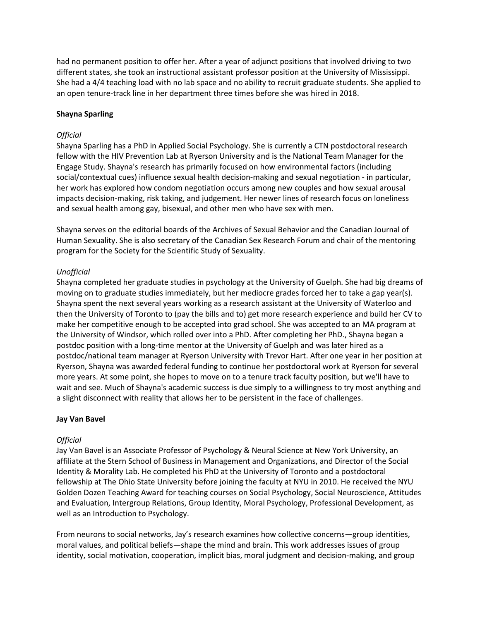had no permanent position to offer her. After a year of adjunct positions that involved driving to two different states, she took an instructional assistant professor position at the University of Mississippi. She had a 4/4 teaching load with no lab space and no ability to recruit graduate students. She applied to an open tenure-track line in her department three times before she was hired in 2018.

## **Shayna Sparling**

## *Official*

Shayna Sparling has a PhD in Applied Social Psychology. She is currently a CTN postdoctoral research fellow with the HIV Prevention Lab at Ryerson University and is the National Team Manager for the Engage Study. Shayna's research has primarily focused on how environmental factors (including social/contextual cues) influence sexual health decision-making and sexual negotiation - in particular, her work has explored how condom negotiation occurs among new couples and how sexual arousal impacts decision-making, risk taking, and judgement. Her newer lines of research focus on loneliness and sexual health among gay, bisexual, and other men who have sex with men.

Shayna serves on the editorial boards of the Archives of Sexual Behavior and the Canadian Journal of Human Sexuality. She is also secretary of the Canadian Sex Research Forum and chair of the mentoring program for the Society for the Scientific Study of Sexuality.

# *Unofficial*

Shayna completed her graduate studies in psychology at the University of Guelph. She had big dreams of moving on to graduate studies immediately, but her mediocre grades forced her to take a gap year(s). Shayna spent the next several years working as a research assistant at the University of Waterloo and then the University of Toronto to (pay the bills and to) get more research experience and build her CV to make her competitive enough to be accepted into grad school. She was accepted to an MA program at the University of Windsor, which rolled over into a PhD. After completing her PhD., Shayna began a postdoc position with a long-time mentor at the University of Guelph and was later hired as a postdoc/national team manager at Ryerson University with Trevor Hart. After one year in her position at Ryerson, Shayna was awarded federal funding to continue her postdoctoral work at Ryerson for several more years. At some point, she hopes to move on to a tenure track faculty position, but we'll have to wait and see. Much of Shayna's academic success is due simply to a willingness to try most anything and a slight disconnect with reality that allows her to be persistent in the face of challenges.

### **Jay Van Bavel**

### *Official*

Jay Van Bavel is an Associate Professor of Psychology & Neural Science at New York University, an affiliate at the Stern School of Business in Management and Organizations, and Director of the Social Identity & Morality Lab. He completed his PhD at the University of Toronto and a postdoctoral fellowship at The Ohio State University before joining the faculty at NYU in 2010. He received the NYU Golden Dozen Teaching Award for teaching courses on Social Psychology, Social Neuroscience, Attitudes and Evaluation, Intergroup Relations, Group Identity, Moral Psychology, Professional Development, as well as an Introduction to Psychology.

From neurons to social networks, Jay's research examines how collective concerns—group identities, moral values, and political beliefs—shape the mind and brain. This work addresses issues of group identity, social motivation, cooperation, implicit bias, moral judgment and decision-making, and group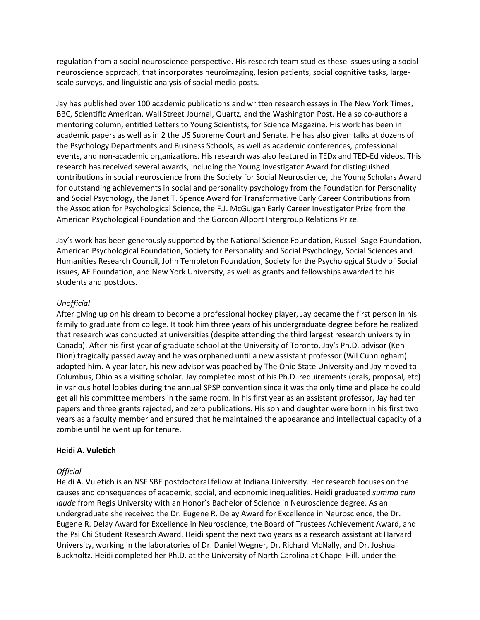regulation from a social neuroscience perspective. His research team studies these issues using a social neuroscience approach, that incorporates neuroimaging, lesion patients, social cognitive tasks, largescale surveys, and linguistic analysis of social media posts.

Jay has published over 100 academic publications and written research essays in The New York Times, BBC, Scientific American, Wall Street Journal, Quartz, and the Washington Post. He also co-authors a mentoring column, entitled Letters to Young Scientists, for Science Magazine. His work has been in academic papers as well as in 2 the US Supreme Court and Senate. He has also given talks at dozens of the Psychology Departments and Business Schools, as well as academic conferences, professional events, and non-academic organizations. His research was also featured in TEDx and TED-Ed videos. This research has received several awards, including the Young Investigator Award for distinguished contributions in social neuroscience from the Society for Social Neuroscience, the Young Scholars Award for outstanding achievements in social and personality psychology from the Foundation for Personality and Social Psychology, the Janet T. Spence Award for Transformative Early Career Contributions from the Association for Psychological Science, the F.J. McGuigan Early Career Investigator Prize from the American Psychological Foundation and the Gordon Allport Intergroup Relations Prize.

Jay's work has been generously supported by the National Science Foundation, Russell Sage Foundation, American Psychological Foundation, Society for Personality and Social Psychology, Social Sciences and Humanities Research Council, John Templeton Foundation, Society for the Psychological Study of Social issues, AE Foundation, and New York University, as well as grants and fellowships awarded to his students and postdocs.

### *Unofficial*

After giving up on his dream to become a professional hockey player, Jay became the first person in his family to graduate from college. It took him three years of his undergraduate degree before he realized that research was conducted at universities (despite attending the third largest research university in Canada). After his first year of graduate school at the University of Toronto, Jay's Ph.D. advisor (Ken Dion) tragically passed away and he was orphaned until a new assistant professor (Wil Cunningham) adopted him. A year later, his new advisor was poached by The Ohio State University and Jay moved to Columbus, Ohio as a visiting scholar. Jay completed most of his Ph.D. requirements (orals, proposal, etc) in various hotel lobbies during the annual SPSP convention since it was the only time and place he could get all his committee members in the same room. In his first year as an assistant professor, Jay had ten papers and three grants rejected, and zero publications. His son and daughter were born in his first two years as a faculty member and ensured that he maintained the appearance and intellectual capacity of a zombie until he went up for tenure.

#### **Heidi A. Vuletich**

#### *Official*

Heidi A. Vuletich is an NSF SBE postdoctoral fellow at Indiana University. Her research focuses on the causes and consequences of academic, social, and economic inequalities. Heidi graduated *summa cum laude* from Regis University with an Honor's Bachelor of Science in Neuroscience degree. As an undergraduate she received the Dr. Eugene R. Delay Award for Excellence in Neuroscience, the Dr. Eugene R. Delay Award for Excellence in Neuroscience, the Board of Trustees Achievement Award, and the Psi Chi Student Research Award. Heidi spent the next two years as a research assistant at Harvard University, working in the laboratories of Dr. Daniel Wegner, Dr. Richard McNally, and Dr. Joshua Buckholtz. Heidi completed her Ph.D. at the University of North Carolina at Chapel Hill, under the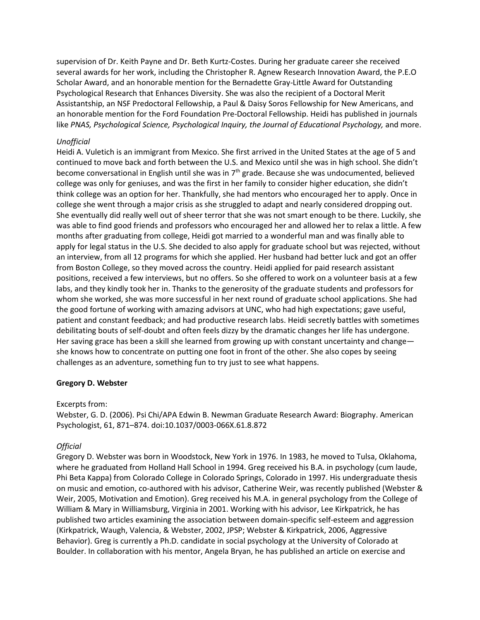supervision of Dr. Keith Payne and Dr. Beth Kurtz-Costes. During her graduate career she received several awards for her work, including the Christopher R. Agnew Research Innovation Award, the P.E.O Scholar Award, and an honorable mention for the Bernadette Gray-Little Award for Outstanding Psychological Research that Enhances Diversity. She was also the recipient of a Doctoral Merit Assistantship, an NSF Predoctoral Fellowship, a Paul & Daisy Soros Fellowship for New Americans, and an honorable mention for the Ford Foundation Pre-Doctoral Fellowship. Heidi has published in journals like *PNAS, Psychological Science, Psychological Inquiry, the Journal of Educational Psychology, and more.* 

### *Unofficial*

Heidi A. Vuletich is an immigrant from Mexico. She first arrived in the United States at the age of 5 and continued to move back and forth between the U.S. and Mexico until she was in high school. She didn't become conversational in English until she was in  $7<sup>th</sup>$  grade. Because she was undocumented, believed college was only for geniuses, and was the first in her family to consider higher education, she didn't think college was an option for her. Thankfully, she had mentors who encouraged her to apply. Once in college she went through a major crisis as she struggled to adapt and nearly considered dropping out. She eventually did really well out of sheer terror that she was not smart enough to be there. Luckily, she was able to find good friends and professors who encouraged her and allowed her to relax a little. A few months after graduating from college, Heidi got married to a wonderful man and was finally able to apply for legal status in the U.S. She decided to also apply for graduate school but was rejected, without an interview, from all 12 programs for which she applied. Her husband had better luck and got an offer from Boston College, so they moved across the country. Heidi applied for paid research assistant positions, received a few interviews, but no offers. So she offered to work on a volunteer basis at a few labs, and they kindly took her in. Thanks to the generosity of the graduate students and professors for whom she worked, she was more successful in her next round of graduate school applications. She had the good fortune of working with amazing advisors at UNC, who had high expectations; gave useful, patient and constant feedback; and had productive research labs. Heidi secretly battles with sometimes debilitating bouts of self-doubt and often feels dizzy by the dramatic changes her life has undergone. Her saving grace has been a skill she learned from growing up with constant uncertainty and changeshe knows how to concentrate on putting one foot in front of the other. She also copes by seeing challenges as an adventure, something fun to try just to see what happens.

#### **Gregory D. Webster**

#### Excerpts from:

Webster, G. D. (2006). Psi Chi/APA Edwin B. Newman Graduate Research Award: Biography. American Psychologist, 61, 871–874. doi:10.1037/0003-066X.61.8.872

#### *Official*

Gregory D. Webster was born in Woodstock, New York in 1976. In 1983, he moved to Tulsa, Oklahoma, where he graduated from Holland Hall School in 1994. Greg received his B.A. in psychology (cum laude, Phi Beta Kappa) from Colorado College in Colorado Springs, Colorado in 1997. His undergraduate thesis on music and emotion, co-authored with his advisor, Catherine Weir, was recently published (Webster & Weir, 2005, Motivation and Emotion). Greg received his M.A. in general psychology from the College of William & Mary in Williamsburg, Virginia in 2001. Working with his advisor, Lee Kirkpatrick, he has published two articles examining the association between domain-specific self-esteem and aggression (Kirkpatrick, Waugh, Valencia, & Webster, 2002, JPSP; Webster & Kirkpatrick, 2006, Aggressive Behavior). Greg is currently a Ph.D. candidate in social psychology at the University of Colorado at Boulder. In collaboration with his mentor, Angela Bryan, he has published an article on exercise and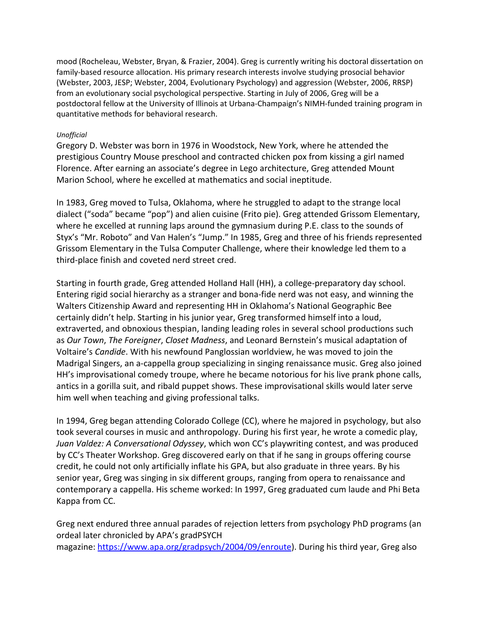mood (Rocheleau, Webster, Bryan, & Frazier, 2004). Greg is currently writing his doctoral dissertation on family-based resource allocation. His primary research interests involve studying prosocial behavior (Webster, 2003, JESP; Webster, 2004, Evolutionary Psychology) and aggression (Webster, 2006, RRSP) from an evolutionary social psychological perspective. Starting in July of 2006, Greg will be a postdoctoral fellow at the University of Illinois at Urbana-Champaign's NIMH-funded training program in quantitative methods for behavioral research.

# *Unofficial*

Gregory D. Webster was born in 1976 in Woodstock, New York, where he attended the prestigious Country Mouse preschool and contracted chicken pox from kissing a girl named Florence. After earning an associate's degree in Lego architecture, Greg attended Mount Marion School, where he excelled at mathematics and social ineptitude.

In 1983, Greg moved to Tulsa, Oklahoma, where he struggled to adapt to the strange local dialect ("soda" became "pop") and alien cuisine (Frito pie). Greg attended Grissom Elementary, where he excelled at running laps around the gymnasium during P.E. class to the sounds of Styx's "Mr. Roboto" and Van Halen's "Jump." In 1985, Greg and three of his friends represented Grissom Elementary in the Tulsa Computer Challenge, where their knowledge led them to a third-place finish and coveted nerd street cred.

Starting in fourth grade, Greg attended Holland Hall (HH), a college-preparatory day school. Entering rigid social hierarchy as a stranger and bona-fide nerd was not easy, and winning the Walters Citizenship Award and representing HH in Oklahoma's National Geographic Bee certainly didn't help. Starting in his junior year, Greg transformed himself into a loud, extraverted, and obnoxious thespian, landing leading roles in several school productions such as *Our Town*, *The Foreigner*, *Closet Madness*, and Leonard Bernstein's musical adaptation of Voltaire's *Candide*. With his newfound Panglossian worldview, he was moved to join the Madrigal Singers, an a-cappella group specializing in singing renaissance music. Greg also joined HH's improvisational comedy troupe, where he became notorious for his live prank phone calls, antics in a gorilla suit, and ribald puppet shows. These improvisational skills would later serve him well when teaching and giving professional talks.

In 1994, Greg began attending Colorado College (CC), where he majored in psychology, but also took several courses in music and anthropology. During his first year, he wrote a comedic play, *Juan Valdez: A Conversational Odyssey*, which won CC's playwriting contest, and was produced by CC's Theater Workshop. Greg discovered early on that if he sang in groups offering course credit, he could not only artificially inflate his GPA, but also graduate in three years. By his senior year, Greg was singing in six different groups, ranging from opera to renaissance and contemporary a cappella. His scheme worked: In 1997, Greg graduated cum laude and Phi Beta Kappa from CC.

Greg next endured three annual parades of rejection letters from psychology PhD programs (an ordeal later chronicled by APA's gradPSYCH magazine: [https://www.apa.org/gradpsych/2004/09/enroute\)](https://urldefense.proofpoint.com/v2/url?u=https-3A__www.apa.org_gradpsych_2004_09_enroute&d=DwQF-g&c=sJ6xIWYx-zLMB3EPkvcnVg&r=VnHpGomjUM_2jHL9hohxmg&m=QTTIB3G-KZiCeZSIKVQD3Bb6Hr-lRSHoUFZTqnEkB4M&s=bv6LvDGDfKmvh6QRFKu1hd2YRMA4CmtbezoUrNuAcxQ&e=). During his third year, Greg also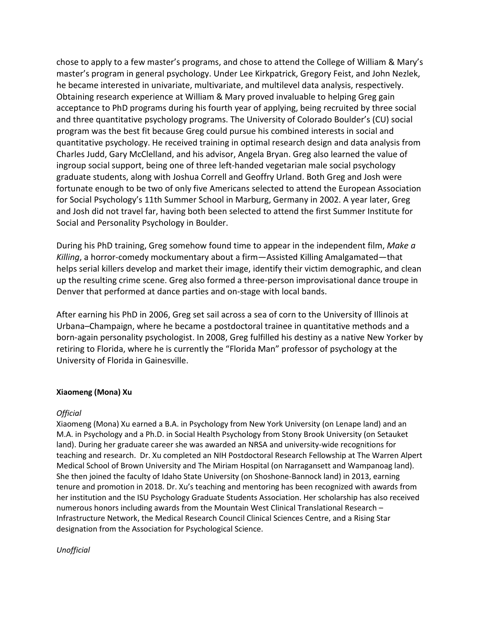chose to apply to a few master's programs, and chose to attend the College of William & Mary's master's program in general psychology. Under Lee Kirkpatrick, Gregory Feist, and John Nezlek, he became interested in univariate, multivariate, and multilevel data analysis, respectively. Obtaining research experience at William & Mary proved invaluable to helping Greg gain acceptance to PhD programs during his fourth year of applying, being recruited by three social and three quantitative psychology programs. The University of Colorado Boulder's (CU) social program was the best fit because Greg could pursue his combined interests in social and quantitative psychology. He received training in optimal research design and data analysis from Charles Judd, Gary McClelland, and his advisor, Angela Bryan. Greg also learned the value of ingroup social support, being one of three left-handed vegetarian male social psychology graduate students, along with Joshua Correll and Geoffry Urland. Both Greg and Josh were fortunate enough to be two of only five Americans selected to attend the European Association for Social Psychology's 11th Summer School in Marburg, Germany in 2002. A year later, Greg and Josh did not travel far, having both been selected to attend the first Summer Institute for Social and Personality Psychology in Boulder.

During his PhD training, Greg somehow found time to appear in the independent film, *Make a Killing*, a horror-comedy mockumentary about a firm—Assisted Killing Amalgamated—that helps serial killers develop and market their image, identify their victim demographic, and clean up the resulting crime scene. Greg also formed a three-person improvisational dance troupe in Denver that performed at dance parties and on-stage with local bands.

After earning his PhD in 2006, Greg set sail across a sea of corn to the University of Illinois at Urbana–Champaign, where he became a postdoctoral trainee in quantitative methods and a born-again personality psychologist. In 2008, Greg fulfilled his destiny as a native New Yorker by retiring to Florida, where he is currently the "Florida Man" professor of psychology at the University of Florida in Gainesville.

### **Xiaomeng (Mona) Xu**

### *Official*

Xiaomeng (Mona) Xu earned a B.A. in Psychology from New York University (on Lenape land) and an M.A. in Psychology and a Ph.D. in Social Health Psychology from Stony Brook University (on Setauket land). During her graduate career she was awarded an NRSA and university-wide recognitions for teaching and research. Dr. Xu completed an NIH Postdoctoral Research Fellowship at The Warren Alpert Medical School of Brown University and The Miriam Hospital (on Narragansett and Wampanoag land). She then joined the faculty of Idaho State University (on Shoshone-Bannock land) in 2013, earning tenure and promotion in 2018. Dr. Xu's teaching and mentoring has been recognized with awards from her institution and the ISU Psychology Graduate Students Association. Her scholarship has also received numerous honors including awards from the Mountain West Clinical Translational Research – Infrastructure Network, the Medical Research Council Clinical Sciences Centre, and a Rising Star designation from the Association for Psychological Science.

*Unofficial*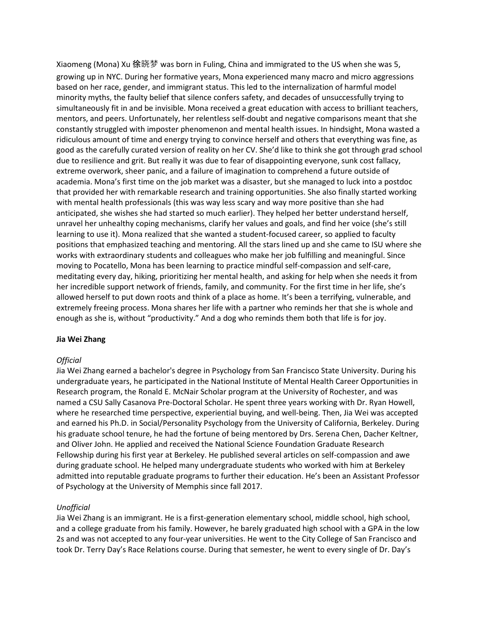Xiaomeng (Mona) Xu 徐晓梦 was born in Fuling, China and immigrated to the US when she was 5, growing up in NYC. During her formative years, Mona experienced many macro and micro aggressions based on her race, gender, and immigrant status. This led to the internalization of harmful model minority myths, the faulty belief that silence confers safety, and decades of unsuccessfully trying to simultaneously fit in and be invisible. Mona received a great education with access to brilliant teachers, mentors, and peers. Unfortunately, her relentless self-doubt and negative comparisons meant that she constantly struggled with imposter phenomenon and mental health issues. In hindsight, Mona wasted a ridiculous amount of time and energy trying to convince herself and others that everything was fine, as good as the carefully curated version of reality on her CV. She'd like to think she got through grad school due to resilience and grit. But really it was due to fear of disappointing everyone, sunk cost fallacy, extreme overwork, sheer panic, and a failure of imagination to comprehend a future outside of academia. Mona's first time on the job market was a disaster, but she managed to luck into a postdoc that provided her with remarkable research and training opportunities. She also finally started working with mental health professionals (this was way less scary and way more positive than she had anticipated, she wishes she had started so much earlier). They helped her better understand herself, unravel her unhealthy coping mechanisms, clarify her values and goals, and find her voice (she's still learning to use it). Mona realized that she wanted a student-focused career, so applied to faculty positions that emphasized teaching and mentoring. All the stars lined up and she came to ISU where she works with extraordinary students and colleagues who make her job fulfilling and meaningful. Since moving to Pocatello, Mona has been learning to practice mindful self-compassion and self-care, meditating every day, hiking, prioritizing her mental health, and asking for help when she needs it from her incredible support network of friends, family, and community. For the first time in her life, she's allowed herself to put down roots and think of a place as home. It's been a terrifying, vulnerable, and extremely freeing process. Mona shares her life with a partner who reminds her that she is whole and enough as she is, without "productivity." And a dog who reminds them both that life is for joy.

### **Jia Wei Zhang**

### *Official*

Jia Wei Zhang earned a bachelor's degree in Psychology from San Francisco State University. During his undergraduate years, he participated in the National Institute of Mental Health Career Opportunities in Research program, the Ronald E. McNair Scholar program at the University of Rochester, and was named a CSU Sally Casanova Pre-Doctoral Scholar. He spent three years working with Dr. Ryan Howell, where he researched time perspective, experiential buying, and well-being. Then, Jia Wei was accepted and earned his Ph.D. in Social/Personality Psychology from the University of California, Berkeley. During his graduate school tenure, he had the fortune of being mentored by Drs. Serena Chen, Dacher Keltner, and Oliver John. He applied and received the National Science Foundation Graduate Research Fellowship during his first year at Berkeley. He published several articles on self-compassion and awe during graduate school. He helped many undergraduate students who worked with him at Berkeley admitted into reputable graduate programs to further their education. He's been an Assistant Professor of Psychology at the University of Memphis since fall 2017.

### *Unofficial*

Jia Wei Zhang is an immigrant. He is a first-generation elementary school, middle school, high school, and a college graduate from his family. However, he barely graduated high school with a GPA in the low 2s and was not accepted to any four-year universities. He went to the City College of San Francisco and took Dr. Terry Day's Race Relations course. During that semester, he went to every single of Dr. Day's